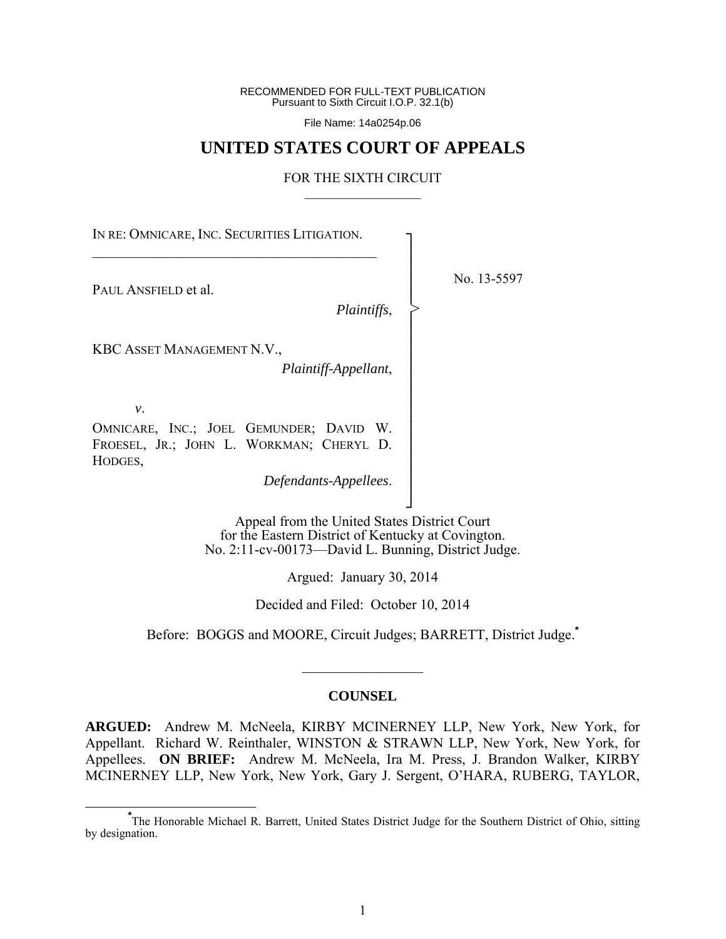RECOMMENDED FOR FULL-TEXT PUBLICATION Pursuant to Sixth Circuit I.O.P. 32.1(b)

File Name: 14a0254p.06

# **UNITED STATES COURT OF APPEALS**

#### FOR THE SIXTH CIRCUIT  $\mathcal{L}_\text{max}$

┐ │ │ │ │ │ │ │ │ │ │ │ │ │ │ │ │

>

IN RE: OMNICARE, INC. SECURITIES LITIGATION.  $\mathcal{L}_\text{max}$  , and the set of the set of the set of the set of the set of the set of the set of the set of the set of the set of the set of the set of the set of the set of the set of the set of the set of the set of the

PAUL ANSFIELD et al.

*Plaintiffs*,

KBC ASSET MANAGEMENT N.V.,

*Plaintiff-Appellant*,

*v*.

OMNICARE, INC.; JOEL GEMUNDER; DAVID W. FROESEL, JR.; JOHN L. WORKMAN; CHERYL D. HODGES,

*Defendants-Appellees*.

┘ Appeal from the United States District Court for the Eastern District of Kentucky at Covington. No. 2:11-cv-00173—David L. Bunning, District Judge.

Argued: January 30, 2014

Decided and Filed: October 10, 2014

Before: BOGGS and MOORE, Circuit Judges; BARRETT, District Judge.**\***

#### **COUNSEL**

 $\frac{1}{2}$ 

**ARGUED:** Andrew M. McNeela, KIRBY MCINERNEY LLP, New York, New York, for Appellant. Richard W. Reinthaler, WINSTON & STRAWN LLP, New York, New York, for Appellees. **ON BRIEF:** Andrew M. McNeela, Ira M. Press, J. Brandon Walker, KIRBY MCINERNEY LLP, New York, New York, Gary J. Sergent, O'HARA, RUBERG, TAYLOR,

No. 13-5597

**\*** The Honorable Michael R. Barrett, United States District Judge for the Southern District of Ohio, sitting by designation.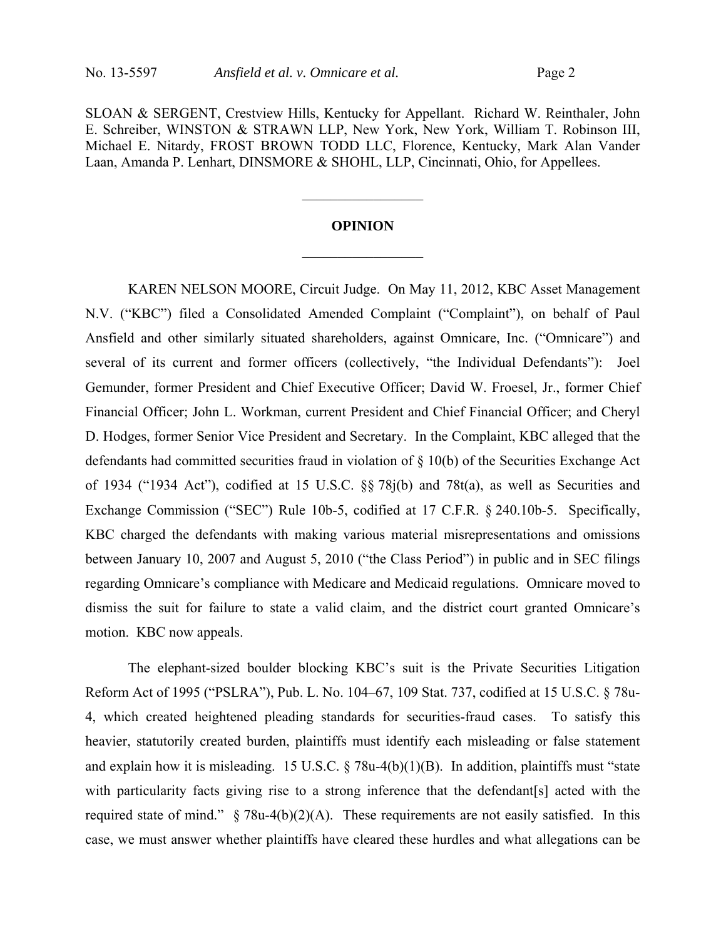SLOAN & SERGENT, Crestview Hills, Kentucky for Appellant. Richard W. Reinthaler, John E. Schreiber, WINSTON & STRAWN LLP, New York, New York, William T. Robinson III, Michael E. Nitardy, FROST BROWN TODD LLC, Florence, Kentucky, Mark Alan Vander Laan, Amanda P. Lenhart, DINSMORE & SHOHL, LLP, Cincinnati, Ohio, for Appellees.

#### **OPINION**

 $\frac{1}{2}$ 

 $\mathcal{L}_\text{max}$ 

KAREN NELSON MOORE, Circuit Judge.On May 11, 2012, KBC Asset Management N.V. ("KBC") filed a Consolidated Amended Complaint ("Complaint"), on behalf of Paul Ansfield and other similarly situated shareholders, against Omnicare, Inc. ("Omnicare") and several of its current and former officers (collectively, "the Individual Defendants"): Joel Gemunder, former President and Chief Executive Officer; David W. Froesel, Jr., former Chief Financial Officer; John L. Workman, current President and Chief Financial Officer; and Cheryl D. Hodges, former Senior Vice President and Secretary. In the Complaint, KBC alleged that the defendants had committed securities fraud in violation of § 10(b) of the Securities Exchange Act of 1934 ("1934 Act"), codified at 15 U.S.C. §§ 78j(b) and 78t(a), as well as Securities and Exchange Commission ("SEC") Rule 10b-5, codified at 17 C.F.R. § 240.10b-5. Specifically, KBC charged the defendants with making various material misrepresentations and omissions between January 10, 2007 and August 5, 2010 ("the Class Period") in public and in SEC filings regarding Omnicare's compliance with Medicare and Medicaid regulations. Omnicare moved to dismiss the suit for failure to state a valid claim, and the district court granted Omnicare's motion. KBC now appeals.

The elephant-sized boulder blocking KBC's suit is the Private Securities Litigation Reform Act of 1995 ("PSLRA"), Pub. L. No. 104–67, 109 Stat. 737, codified at 15 U.S.C. § 78u-4, which created heightened pleading standards for securities-fraud cases. To satisfy this heavier, statutorily created burden, plaintiffs must identify each misleading or false statement and explain how it is misleading. 15 U.S.C.  $\S$  78u-4(b)(1)(B). In addition, plaintiffs must "state with particularity facts giving rise to a strong inference that the defendant[s] acted with the required state of mind."  $\S$  78u-4(b)(2)(A). These requirements are not easily satisfied. In this case, we must answer whether plaintiffs have cleared these hurdles and what allegations can be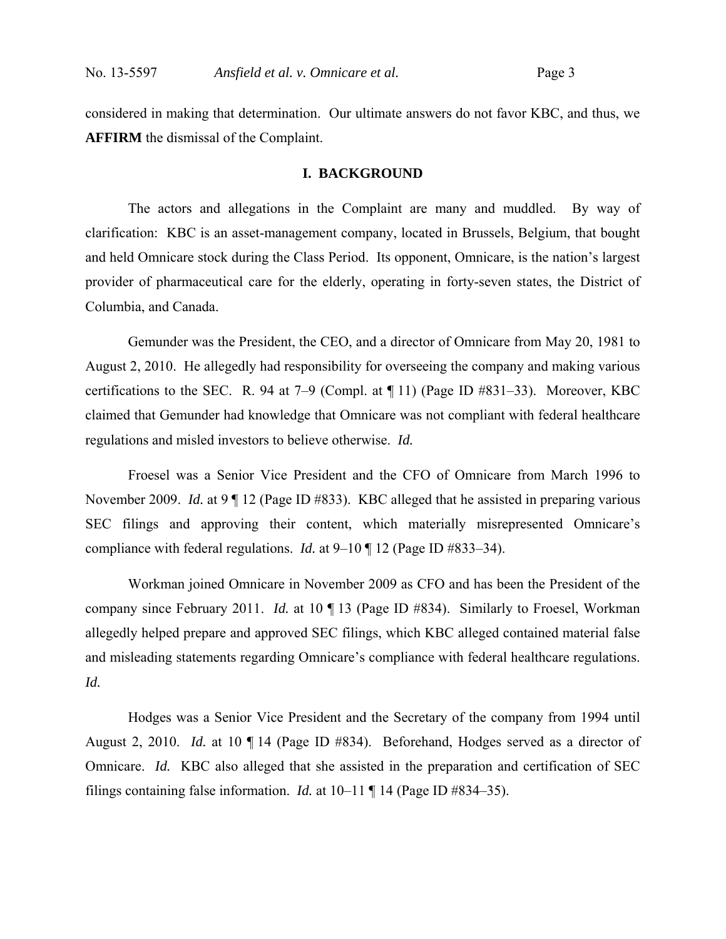considered in making that determination. Our ultimate answers do not favor KBC, and thus, we **AFFIRM** the dismissal of the Complaint.

#### **I. BACKGROUND**

The actors and allegations in the Complaint are many and muddled. By way of clarification: KBC is an asset-management company, located in Brussels, Belgium, that bought and held Omnicare stock during the Class Period. Its opponent, Omnicare, is the nation's largest provider of pharmaceutical care for the elderly, operating in forty-seven states, the District of Columbia, and Canada.

Gemunder was the President, the CEO, and a director of Omnicare from May 20, 1981 to August 2, 2010. He allegedly had responsibility for overseeing the company and making various certifications to the SEC. R. 94 at 7–9 (Compl. at ¶ 11) (Page ID #831–33). Moreover, KBC claimed that Gemunder had knowledge that Omnicare was not compliant with federal healthcare regulations and misled investors to believe otherwise. *Id.*

Froesel was a Senior Vice President and the CFO of Omnicare from March 1996 to November 2009. *Id.* at 9 | 12 (Page ID #833). KBC alleged that he assisted in preparing various SEC filings and approving their content, which materially misrepresented Omnicare's compliance with federal regulations. *Id.* at 9–10 ¶ 12 (Page ID #833–34).

Workman joined Omnicare in November 2009 as CFO and has been the President of the company since February 2011. *Id.* at 10 ¶ 13 (Page ID #834). Similarly to Froesel, Workman allegedly helped prepare and approved SEC filings, which KBC alleged contained material false and misleading statements regarding Omnicare's compliance with federal healthcare regulations. *Id.* 

Hodges was a Senior Vice President and the Secretary of the company from 1994 until August 2, 2010. *Id.* at 10 ¶ 14 (Page ID #834). Beforehand, Hodges served as a director of Omnicare. *Id.* KBC also alleged that she assisted in the preparation and certification of SEC filings containing false information. *Id.* at 10–11 ¶ 14 (Page ID #834–35).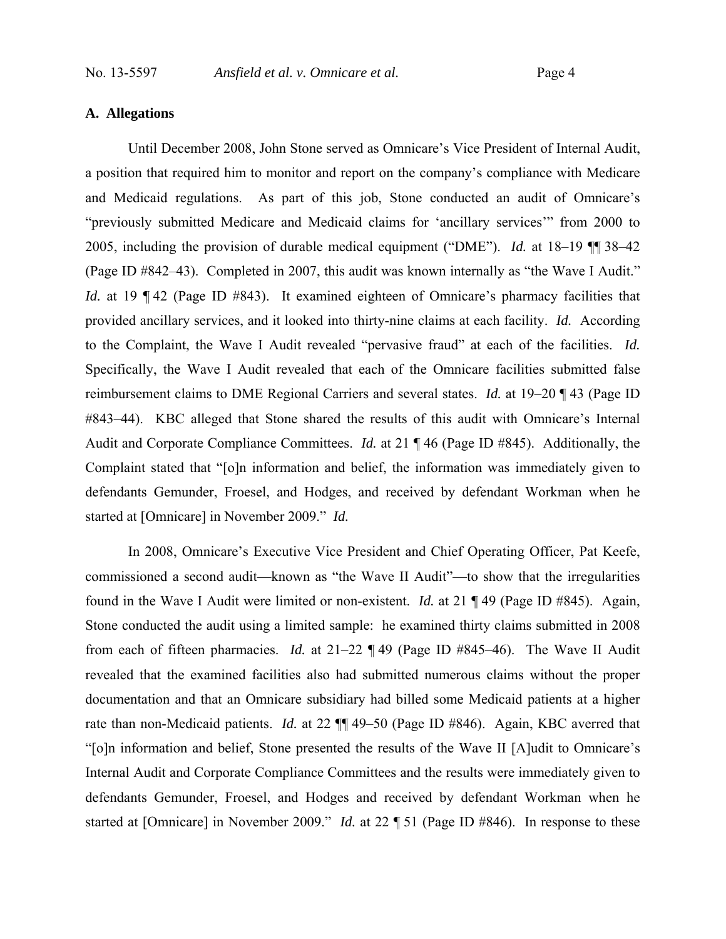# **A. Allegations**

Until December 2008, John Stone served as Omnicare's Vice President of Internal Audit, a position that required him to monitor and report on the company's compliance with Medicare and Medicaid regulations. As part of this job, Stone conducted an audit of Omnicare's "previously submitted Medicare and Medicaid claims for 'ancillary services'" from 2000 to 2005, including the provision of durable medical equipment ("DME"). *Id.* at 18–19 ¶¶ 38–42 (Page ID #842–43). Completed in 2007, this audit was known internally as "the Wave I Audit." *Id.* at 19 ¶ 42 (Page ID #843). It examined eighteen of Omnicare's pharmacy facilities that provided ancillary services, and it looked into thirty-nine claims at each facility. *Id.* According to the Complaint, the Wave I Audit revealed "pervasive fraud" at each of the facilities. *Id.* Specifically, the Wave I Audit revealed that each of the Omnicare facilities submitted false reimbursement claims to DME Regional Carriers and several states. *Id.* at 19–20 ¶ 43 (Page ID #843–44). KBC alleged that Stone shared the results of this audit with Omnicare's Internal Audit and Corporate Compliance Committees. *Id.* at 21 ¶ 46 (Page ID #845). Additionally, the Complaint stated that "[o]n information and belief, the information was immediately given to defendants Gemunder, Froesel, and Hodges, and received by defendant Workman when he started at [Omnicare] in November 2009." *Id.*

 In 2008, Omnicare's Executive Vice President and Chief Operating Officer, Pat Keefe, commissioned a second audit—known as "the Wave II Audit"—to show that the irregularities found in the Wave I Audit were limited or non-existent. *Id.* at 21 ¶ 49 (Page ID #845). Again, Stone conducted the audit using a limited sample: he examined thirty claims submitted in 2008 from each of fifteen pharmacies. *Id.* at 21–22 ¶ 49 (Page ID #845–46). The Wave II Audit revealed that the examined facilities also had submitted numerous claims without the proper documentation and that an Omnicare subsidiary had billed some Medicaid patients at a higher rate than non-Medicaid patients. *Id.* at 22  $\P\P$  49–50 (Page ID #846). Again, KBC averred that "[o]n information and belief, Stone presented the results of the Wave II [A]udit to Omnicare's Internal Audit and Corporate Compliance Committees and the results were immediately given to defendants Gemunder, Froesel, and Hodges and received by defendant Workman when he started at [Omnicare] in November 2009." *Id.* at 22 ¶ 51 (Page ID #846). In response to these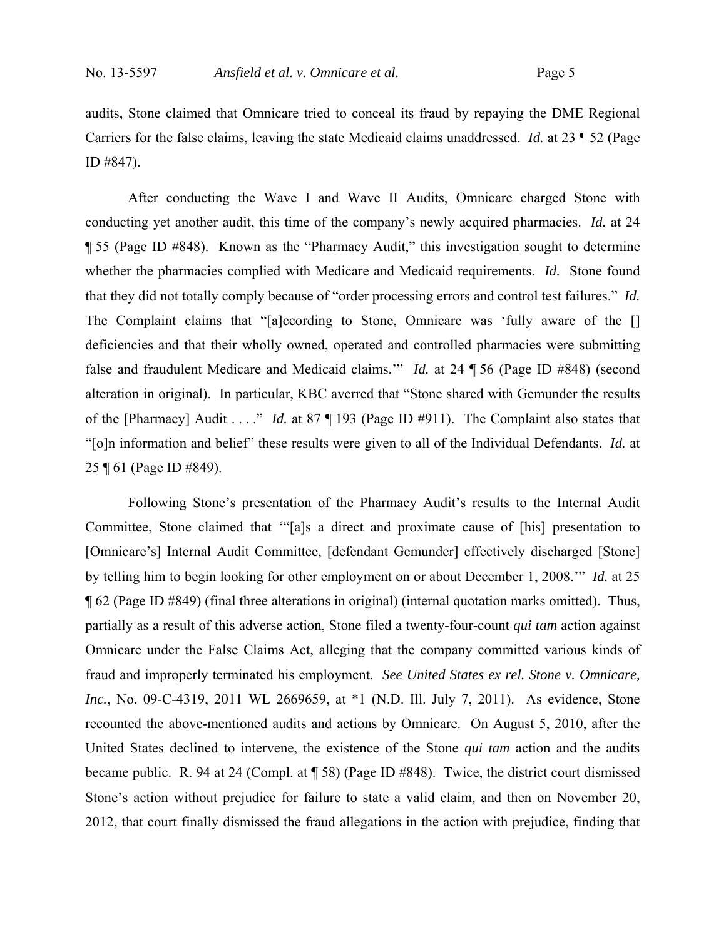audits, Stone claimed that Omnicare tried to conceal its fraud by repaying the DME Regional Carriers for the false claims, leaving the state Medicaid claims unaddressed. *Id.* at 23 ¶ 52 (Page ID #847).

 After conducting the Wave I and Wave II Audits, Omnicare charged Stone with conducting yet another audit, this time of the company's newly acquired pharmacies. *Id.* at 24 ¶ 55 (Page ID #848). Known as the "Pharmacy Audit," this investigation sought to determine whether the pharmacies complied with Medicare and Medicaid requirements. *Id.* Stone found that they did not totally comply because of "order processing errors and control test failures." *Id.* The Complaint claims that "[a]ccording to Stone, Omnicare was 'fully aware of the [] deficiencies and that their wholly owned, operated and controlled pharmacies were submitting false and fraudulent Medicare and Medicaid claims.'" *Id.* at 24 ¶ 56 (Page ID #848) (second alteration in original). In particular, KBC averred that "Stone shared with Gemunder the results of the [Pharmacy] Audit . . . ." *Id.* at 87 ¶ 193 (Page ID #911). The Complaint also states that "[o]n information and belief" these results were given to all of the Individual Defendants. *Id.* at 25 ¶ 61 (Page ID #849).

 Following Stone's presentation of the Pharmacy Audit's results to the Internal Audit Committee, Stone claimed that '"[a]s a direct and proximate cause of [his] presentation to [Omnicare's] Internal Audit Committee, [defendant Gemunder] effectively discharged [Stone] by telling him to begin looking for other employment on or about December 1, 2008.'" *Id.* at 25 ¶ 62 (Page ID #849) (final three alterations in original) (internal quotation marks omitted). Thus, partially as a result of this adverse action, Stone filed a twenty-four-count *qui tam* action against Omnicare under the False Claims Act, alleging that the company committed various kinds of fraud and improperly terminated his employment. *See United States ex rel. Stone v. Omnicare, Inc.*, No. 09-C-4319, 2011 WL 2669659, at \*1 (N.D. Ill. July 7, 2011). As evidence, Stone recounted the above-mentioned audits and actions by Omnicare. On August 5, 2010, after the United States declined to intervene, the existence of the Stone *qui tam* action and the audits became public. R. 94 at 24 (Compl. at ¶ 58) (Page ID #848). Twice, the district court dismissed Stone's action without prejudice for failure to state a valid claim, and then on November 20, 2012, that court finally dismissed the fraud allegations in the action with prejudice, finding that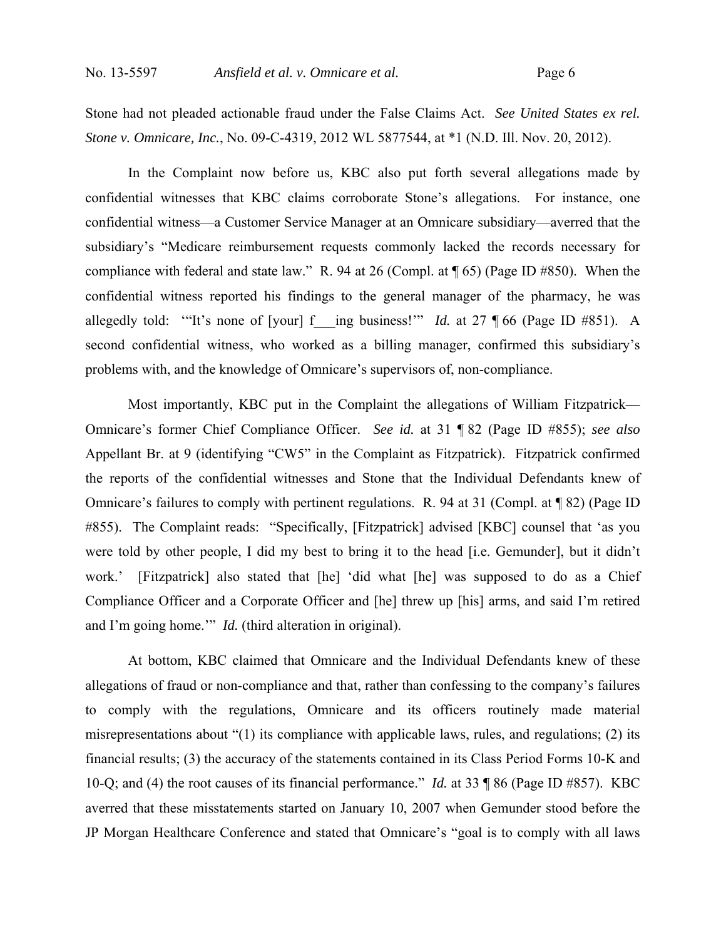Stone had not pleaded actionable fraud under the False Claims Act. *See United States ex rel. Stone v. Omnicare, Inc.*, No. 09-C-4319, 2012 WL 5877544, at \*1 (N.D. Ill. Nov. 20, 2012).

In the Complaint now before us, KBC also put forth several allegations made by confidential witnesses that KBC claims corroborate Stone's allegations. For instance, one confidential witness—a Customer Service Manager at an Omnicare subsidiary—averred that the subsidiary's "Medicare reimbursement requests commonly lacked the records necessary for compliance with federal and state law." R. 94 at 26 (Compl. at ¶ 65) (Page ID #850). When the confidential witness reported his findings to the general manager of the pharmacy, he was allegedly told: ""It's none of [your] f\_\_\_ing business!" *Id.* at 27  $\P$  66 (Page ID #851). A second confidential witness, who worked as a billing manager, confirmed this subsidiary's problems with, and the knowledge of Omnicare's supervisors of, non-compliance.

Most importantly, KBC put in the Complaint the allegations of William Fitzpatrick— Omnicare's former Chief Compliance Officer. *See id.* at 31 ¶ 82 (Page ID #855); *see also*  Appellant Br. at 9 (identifying "CW5" in the Complaint as Fitzpatrick). Fitzpatrick confirmed the reports of the confidential witnesses and Stone that the Individual Defendants knew of Omnicare's failures to comply with pertinent regulations. R. 94 at 31 (Compl. at ¶ 82) (Page ID #855). The Complaint reads: "Specifically, [Fitzpatrick] advised [KBC] counsel that 'as you were told by other people, I did my best to bring it to the head [i.e. Gemunder], but it didn't work.' [Fitzpatrick] also stated that [he] 'did what [he] was supposed to do as a Chief Compliance Officer and a Corporate Officer and [he] threw up [his] arms, and said I'm retired and I'm going home.'" *Id.* (third alteration in original).

At bottom, KBC claimed that Omnicare and the Individual Defendants knew of these allegations of fraud or non-compliance and that, rather than confessing to the company's failures to comply with the regulations, Omnicare and its officers routinely made material misrepresentations about "(1) its compliance with applicable laws, rules, and regulations; (2) its financial results; (3) the accuracy of the statements contained in its Class Period Forms 10-K and 10-Q; and (4) the root causes of its financial performance." *Id.* at 33 ¶ 86 (Page ID #857). KBC averred that these misstatements started on January 10, 2007 when Gemunder stood before the JP Morgan Healthcare Conference and stated that Omnicare's "goal is to comply with all laws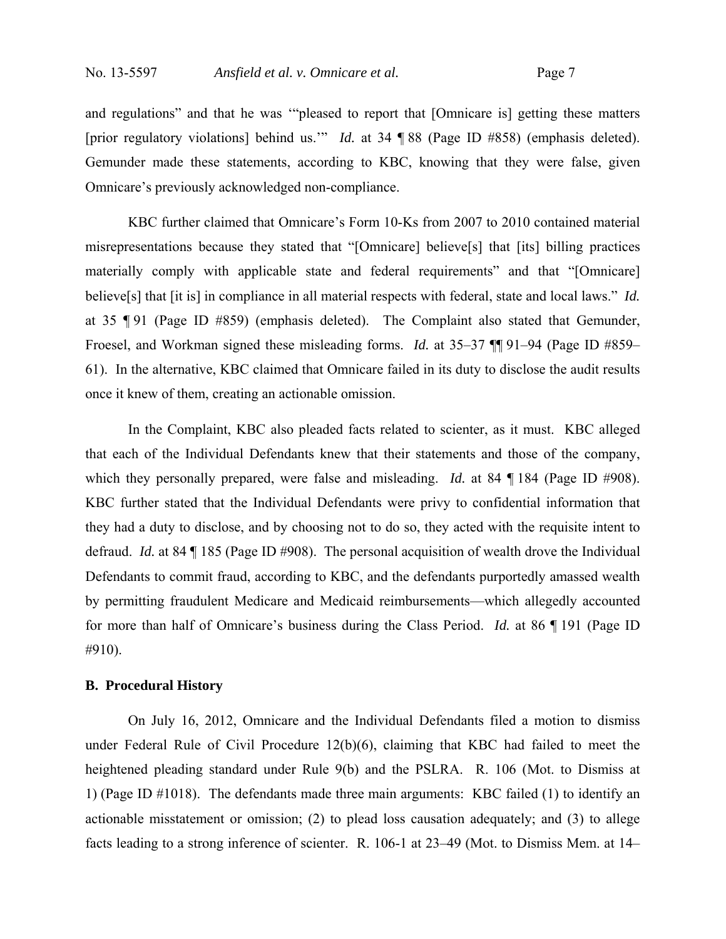and regulations" and that he was '"pleased to report that [Omnicare is] getting these matters [prior regulatory violations] behind us.'" *Id.* at 34 ¶ 88 (Page ID #858) (emphasis deleted). Gemunder made these statements, according to KBC, knowing that they were false, given Omnicare's previously acknowledged non-compliance.

 KBC further claimed that Omnicare's Form 10-Ks from 2007 to 2010 contained material misrepresentations because they stated that "[Omnicare] believe[s] that [its] billing practices materially comply with applicable state and federal requirements" and that "[Omnicare] believe[s] that [it is] in compliance in all material respects with federal, state and local laws." *Id.*  at 35 ¶ 91 (Page ID #859) (emphasis deleted). The Complaint also stated that Gemunder, Froesel, and Workman signed these misleading forms. *Id.* at 35–37 ¶¶ 91–94 (Page ID #859– 61). In the alternative, KBC claimed that Omnicare failed in its duty to disclose the audit results once it knew of them, creating an actionable omission.

In the Complaint, KBC also pleaded facts related to scienter, as it must. KBC alleged that each of the Individual Defendants knew that their statements and those of the company, which they personally prepared, were false and misleading. *Id.* at 84 ¶ 184 (Page ID #908). KBC further stated that the Individual Defendants were privy to confidential information that they had a duty to disclose, and by choosing not to do so, they acted with the requisite intent to defraud. *Id.* at 84 ¶ 185 (Page ID #908). The personal acquisition of wealth drove the Individual Defendants to commit fraud, according to KBC, and the defendants purportedly amassed wealth by permitting fraudulent Medicare and Medicaid reimbursements—which allegedly accounted for more than half of Omnicare's business during the Class Period. *Id.* at 86 ¶ 191 (Page ID #910).

### **B. Procedural History**

On July 16, 2012, Omnicare and the Individual Defendants filed a motion to dismiss under Federal Rule of Civil Procedure 12(b)(6), claiming that KBC had failed to meet the heightened pleading standard under Rule 9(b) and the PSLRA. R. 106 (Mot. to Dismiss at 1) (Page ID #1018). The defendants made three main arguments: KBC failed (1) to identify an actionable misstatement or omission; (2) to plead loss causation adequately; and (3) to allege facts leading to a strong inference of scienter. R. 106-1 at 23–49 (Mot. to Dismiss Mem. at 14–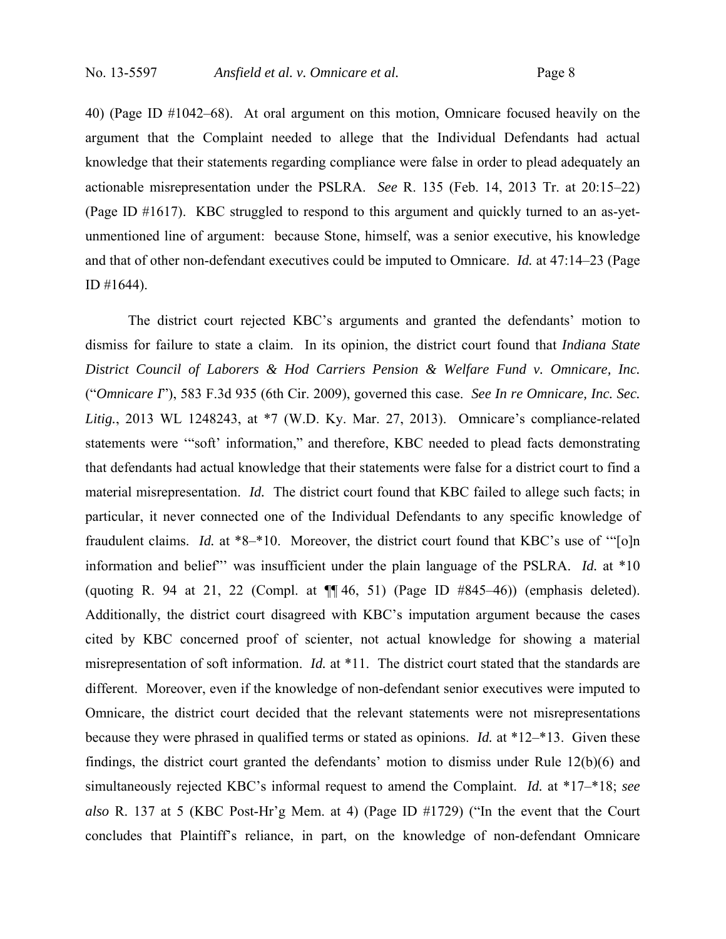40) (Page ID #1042–68). At oral argument on this motion, Omnicare focused heavily on the argument that the Complaint needed to allege that the Individual Defendants had actual knowledge that their statements regarding compliance were false in order to plead adequately an actionable misrepresentation under the PSLRA. *See* R. 135 (Feb. 14, 2013 Tr. at 20:15–22) (Page ID #1617). KBC struggled to respond to this argument and quickly turned to an as-yetunmentioned line of argument: because Stone, himself, was a senior executive, his knowledge and that of other non-defendant executives could be imputed to Omnicare. *Id.* at 47:14–23 (Page ID #1644).

 The district court rejected KBC's arguments and granted the defendants' motion to dismiss for failure to state a claim. In its opinion, the district court found that *Indiana State District Council of Laborers & Hod Carriers Pension & Welfare Fund v. Omnicare, Inc.* ("*Omnicare I*"), 583 F.3d 935 (6th Cir. 2009), governed this case. *See In re Omnicare, Inc. Sec. Litig.*, 2013 WL 1248243, at \*7 (W.D. Ky. Mar. 27, 2013). Omnicare's compliance-related statements were '"soft' information," and therefore, KBC needed to plead facts demonstrating that defendants had actual knowledge that their statements were false for a district court to find a material misrepresentation. *Id.* The district court found that KBC failed to allege such facts; in particular, it never connected one of the Individual Defendants to any specific knowledge of fraudulent claims. *Id.* at \*8–\*10. Moreover, the district court found that KBC's use of '"[o]n information and belief"' was insufficient under the plain language of the PSLRA. *Id.* at \*10 (quoting R. 94 at 21, 22 (Compl. at ¶¶ 46, 51) (Page ID #845–46)) (emphasis deleted). Additionally, the district court disagreed with KBC's imputation argument because the cases cited by KBC concerned proof of scienter, not actual knowledge for showing a material misrepresentation of soft information. *Id.* at \*11. The district court stated that the standards are different. Moreover, even if the knowledge of non-defendant senior executives were imputed to Omnicare, the district court decided that the relevant statements were not misrepresentations because they were phrased in qualified terms or stated as opinions. *Id.* at \*12–\*13. Given these findings, the district court granted the defendants' motion to dismiss under Rule 12(b)(6) and simultaneously rejected KBC's informal request to amend the Complaint. *Id.* at \*17–\*18; *see also* R. 137 at 5 (KBC Post-Hr'g Mem. at 4) (Page ID #1729) ("In the event that the Court concludes that Plaintiff's reliance, in part, on the knowledge of non-defendant Omnicare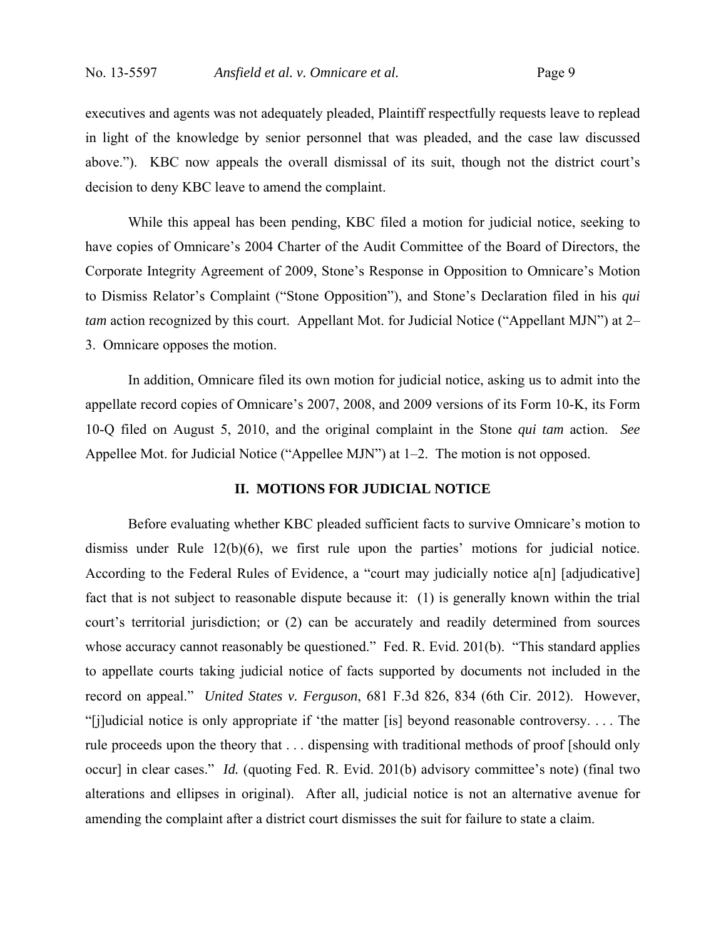executives and agents was not adequately pleaded, Plaintiff respectfully requests leave to replead in light of the knowledge by senior personnel that was pleaded, and the case law discussed above."). KBC now appeals the overall dismissal of its suit, though not the district court's decision to deny KBC leave to amend the complaint.

 While this appeal has been pending, KBC filed a motion for judicial notice, seeking to have copies of Omnicare's 2004 Charter of the Audit Committee of the Board of Directors, the Corporate Integrity Agreement of 2009, Stone's Response in Opposition to Omnicare's Motion to Dismiss Relator's Complaint ("Stone Opposition"), and Stone's Declaration filed in his *qui tam* action recognized by this court. Appellant Mot. for Judicial Notice ("Appellant MJN") at 2– 3. Omnicare opposes the motion.

 In addition, Omnicare filed its own motion for judicial notice, asking us to admit into the appellate record copies of Omnicare's 2007, 2008, and 2009 versions of its Form 10-K, its Form 10-Q filed on August 5, 2010, and the original complaint in the Stone *qui tam* action. *See*  Appellee Mot. for Judicial Notice ("Appellee MJN") at 1–2. The motion is not opposed.

## **II. MOTIONS FOR JUDICIAL NOTICE**

Before evaluating whether KBC pleaded sufficient facts to survive Omnicare's motion to dismiss under Rule 12(b)(6), we first rule upon the parties' motions for judicial notice. According to the Federal Rules of Evidence, a "court may judicially notice a[n] [adjudicative] fact that is not subject to reasonable dispute because it: (1) is generally known within the trial court's territorial jurisdiction; or (2) can be accurately and readily determined from sources whose accuracy cannot reasonably be questioned." Fed. R. Evid. 201(b). "This standard applies to appellate courts taking judicial notice of facts supported by documents not included in the record on appeal." *United States v. Ferguson*, 681 F.3d 826, 834 (6th Cir. 2012). However, "[j]udicial notice is only appropriate if 'the matter [is] beyond reasonable controversy. . . . The rule proceeds upon the theory that . . . dispensing with traditional methods of proof [should only occur] in clear cases." *Id.* (quoting Fed. R. Evid. 201(b) advisory committee's note) (final two alterations and ellipses in original). After all, judicial notice is not an alternative avenue for amending the complaint after a district court dismisses the suit for failure to state a claim.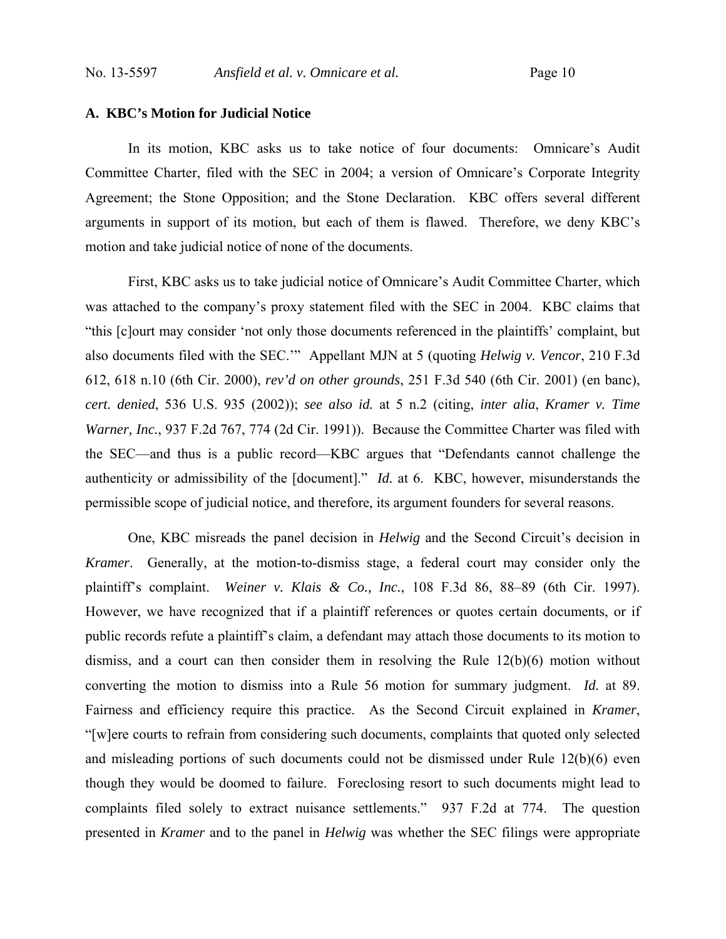# **A. KBC's Motion for Judicial Notice**

In its motion, KBC asks us to take notice of four documents: Omnicare's Audit Committee Charter, filed with the SEC in 2004; a version of Omnicare's Corporate Integrity Agreement; the Stone Opposition; and the Stone Declaration. KBC offers several different arguments in support of its motion, but each of them is flawed. Therefore, we deny KBC's motion and take judicial notice of none of the documents.

First, KBC asks us to take judicial notice of Omnicare's Audit Committee Charter, which was attached to the company's proxy statement filed with the SEC in 2004. KBC claims that "this [c]ourt may consider 'not only those documents referenced in the plaintiffs' complaint, but also documents filed with the SEC.'" Appellant MJN at 5 (quoting *Helwig v. Vencor*, 210 F.3d 612, 618 n.10 (6th Cir. 2000), *rev'd on other grounds*, 251 F.3d 540 (6th Cir. 2001) (en banc), *cert. denied*, 536 U.S. 935 (2002)); *see also id.* at 5 n.2 (citing, *inter alia*, *Kramer v. Time Warner, Inc.*, 937 F.2d 767, 774 (2d Cir. 1991)). Because the Committee Charter was filed with the SEC—and thus is a public record—KBC argues that "Defendants cannot challenge the authenticity or admissibility of the [document]." *Id.* at 6. KBC, however, misunderstands the permissible scope of judicial notice, and therefore, its argument founders for several reasons.

One, KBC misreads the panel decision in *Helwig* and the Second Circuit's decision in *Kramer*. Generally, at the motion-to-dismiss stage, a federal court may consider only the plaintiff's complaint. *Weiner v. Klais & Co., Inc.*, 108 F.3d 86, 88–89 (6th Cir. 1997). However, we have recognized that if a plaintiff references or quotes certain documents, or if public records refute a plaintiff's claim, a defendant may attach those documents to its motion to dismiss, and a court can then consider them in resolving the Rule 12(b)(6) motion without converting the motion to dismiss into a Rule 56 motion for summary judgment. *Id.* at 89. Fairness and efficiency require this practice. As the Second Circuit explained in *Kramer*, "[w]ere courts to refrain from considering such documents, complaints that quoted only selected and misleading portions of such documents could not be dismissed under Rule 12(b)(6) even though they would be doomed to failure. Foreclosing resort to such documents might lead to complaints filed solely to extract nuisance settlements." 937 F.2d at 774. The question presented in *Kramer* and to the panel in *Helwig* was whether the SEC filings were appropriate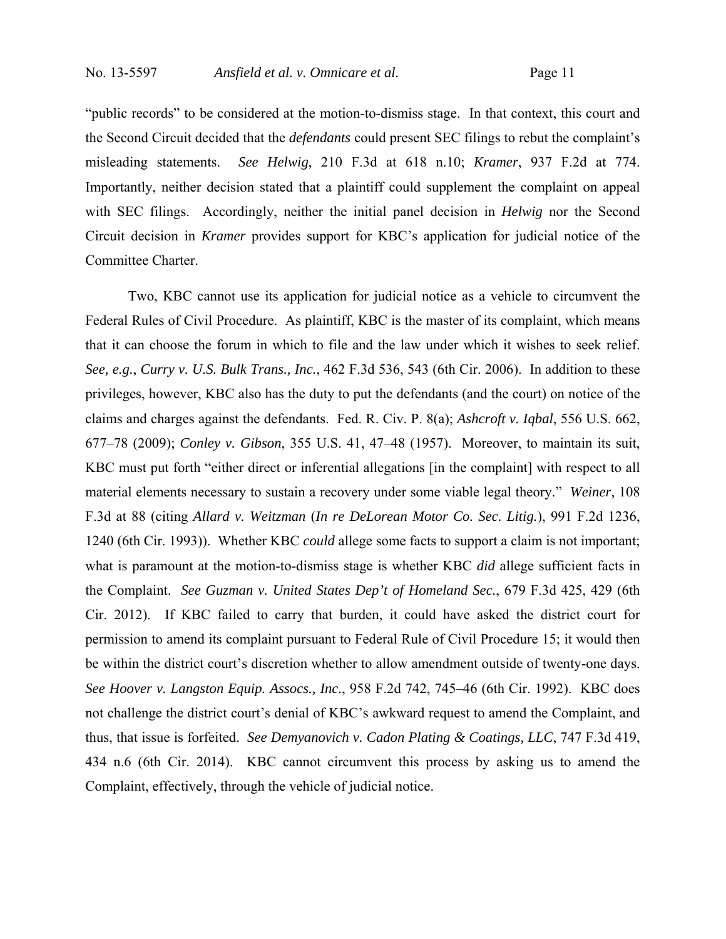"public records" to be considered at the motion-to-dismiss stage. In that context, this court and the Second Circuit decided that the *defendants* could present SEC filings to rebut the complaint's misleading statements. *See Helwig*, 210 F.3d at 618 n.10; *Kramer*, 937 F.2d at 774. Importantly, neither decision stated that a plaintiff could supplement the complaint on appeal with SEC filings. Accordingly, neither the initial panel decision in *Helwig* nor the Second Circuit decision in *Kramer* provides support for KBC's application for judicial notice of the Committee Charter.

Two, KBC cannot use its application for judicial notice as a vehicle to circumvent the Federal Rules of Civil Procedure. As plaintiff, KBC is the master of its complaint, which means that it can choose the forum in which to file and the law under which it wishes to seek relief. *See, e.g.*, *Curry v. U.S. Bulk Trans., Inc.*, 462 F.3d 536, 543 (6th Cir. 2006). In addition to these privileges, however, KBC also has the duty to put the defendants (and the court) on notice of the claims and charges against the defendants. Fed. R. Civ. P. 8(a); *Ashcroft v. Iqbal*, 556 U.S. 662, 677–78 (2009); *Conley v. Gibson*, 355 U.S. 41, 47–48 (1957). Moreover, to maintain its suit, KBC must put forth "either direct or inferential allegations [in the complaint] with respect to all material elements necessary to sustain a recovery under some viable legal theory." *Weiner*, 108 F.3d at 88 (citing *Allard v. Weitzman* (*In re DeLorean Motor Co. Sec. Litig.*), 991 F.2d 1236, 1240 (6th Cir. 1993)). Whether KBC *could* allege some facts to support a claim is not important; what is paramount at the motion-to-dismiss stage is whether KBC *did* allege sufficient facts in the Complaint. *See Guzman v. United States Dep't of Homeland Sec.*, 679 F.3d 425, 429 (6th Cir. 2012). If KBC failed to carry that burden, it could have asked the district court for permission to amend its complaint pursuant to Federal Rule of Civil Procedure 15; it would then be within the district court's discretion whether to allow amendment outside of twenty-one days. *See Hoover v. Langston Equip. Assocs., Inc.*, 958 F.2d 742, 745–46 (6th Cir. 1992). KBC does not challenge the district court's denial of KBC's awkward request to amend the Complaint, and thus, that issue is forfeited. *See Demyanovich v. Cadon Plating & Coatings, LLC*, 747 F.3d 419, 434 n.6 (6th Cir. 2014). KBC cannot circumvent this process by asking us to amend the Complaint, effectively, through the vehicle of judicial notice.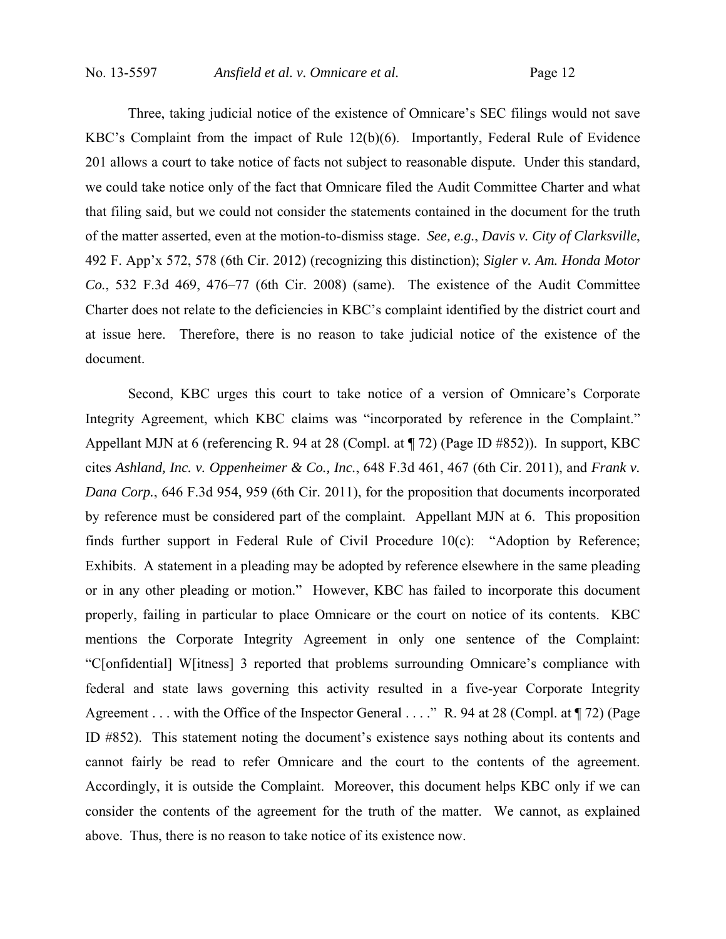Three, taking judicial notice of the existence of Omnicare's SEC filings would not save KBC's Complaint from the impact of Rule 12(b)(6). Importantly, Federal Rule of Evidence 201 allows a court to take notice of facts not subject to reasonable dispute. Under this standard, we could take notice only of the fact that Omnicare filed the Audit Committee Charter and what that filing said, but we could not consider the statements contained in the document for the truth of the matter asserted, even at the motion-to-dismiss stage. *See, e.g.*, *Davis v. City of Clarksville*, 492 F. App'x 572, 578 (6th Cir. 2012) (recognizing this distinction); *Sigler v. Am. Honda Motor Co.*, 532 F.3d 469, 476–77 (6th Cir. 2008) (same). The existence of the Audit Committee Charter does not relate to the deficiencies in KBC's complaint identified by the district court and at issue here. Therefore, there is no reason to take judicial notice of the existence of the document.

Second, KBC urges this court to take notice of a version of Omnicare's Corporate Integrity Agreement, which KBC claims was "incorporated by reference in the Complaint." Appellant MJN at 6 (referencing R. 94 at 28 (Compl. at ¶ 72) (Page ID #852)). In support, KBC cites *Ashland, Inc. v. Oppenheimer & Co., Inc.*, 648 F.3d 461, 467 (6th Cir. 2011), and *Frank v. Dana Corp.*, 646 F.3d 954, 959 (6th Cir. 2011), for the proposition that documents incorporated by reference must be considered part of the complaint. Appellant MJN at 6. This proposition finds further support in Federal Rule of Civil Procedure 10(c): "Adoption by Reference; Exhibits. A statement in a pleading may be adopted by reference elsewhere in the same pleading or in any other pleading or motion." However, KBC has failed to incorporate this document properly, failing in particular to place Omnicare or the court on notice of its contents. KBC mentions the Corporate Integrity Agreement in only one sentence of the Complaint: "C[onfidential] W[itness] 3 reported that problems surrounding Omnicare's compliance with federal and state laws governing this activity resulted in a five-year Corporate Integrity Agreement . . . with the Office of the Inspector General . . . ." R. 94 at 28 (Compl. at  $\P$  72) (Page ID #852). This statement noting the document's existence says nothing about its contents and cannot fairly be read to refer Omnicare and the court to the contents of the agreement. Accordingly, it is outside the Complaint. Moreover, this document helps KBC only if we can consider the contents of the agreement for the truth of the matter. We cannot, as explained above. Thus, there is no reason to take notice of its existence now.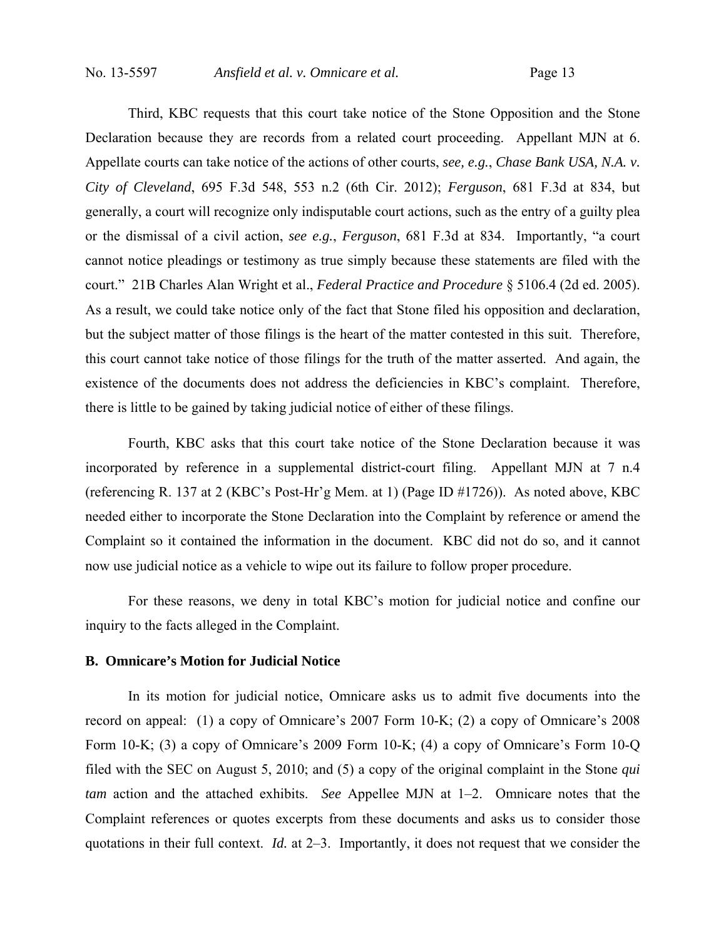Third, KBC requests that this court take notice of the Stone Opposition and the Stone Declaration because they are records from a related court proceeding. Appellant MJN at 6. Appellate courts can take notice of the actions of other courts, *see, e.g.*, *Chase Bank USA, N.A. v. City of Cleveland*, 695 F.3d 548, 553 n.2 (6th Cir. 2012); *Ferguson*, 681 F.3d at 834, but generally, a court will recognize only indisputable court actions, such as the entry of a guilty plea or the dismissal of a civil action, *see e.g.*, *Ferguson*, 681 F.3d at 834. Importantly, "a court cannot notice pleadings or testimony as true simply because these statements are filed with the court." 21B Charles Alan Wright et al., *Federal Practice and Procedure* § 5106.4 (2d ed. 2005). As a result, we could take notice only of the fact that Stone filed his opposition and declaration, but the subject matter of those filings is the heart of the matter contested in this suit. Therefore, this court cannot take notice of those filings for the truth of the matter asserted. And again, the existence of the documents does not address the deficiencies in KBC's complaint. Therefore, there is little to be gained by taking judicial notice of either of these filings.

Fourth, KBC asks that this court take notice of the Stone Declaration because it was incorporated by reference in a supplemental district-court filing. Appellant MJN at 7 n.4 (referencing R. 137 at 2 (KBC's Post-Hr'g Mem. at 1) (Page ID #1726)). As noted above, KBC needed either to incorporate the Stone Declaration into the Complaint by reference or amend the Complaint so it contained the information in the document. KBC did not do so, and it cannot now use judicial notice as a vehicle to wipe out its failure to follow proper procedure.

For these reasons, we deny in total KBC's motion for judicial notice and confine our inquiry to the facts alleged in the Complaint.

#### **B. Omnicare's Motion for Judicial Notice**

In its motion for judicial notice, Omnicare asks us to admit five documents into the record on appeal: (1) a copy of Omnicare's 2007 Form 10-K; (2) a copy of Omnicare's 2008 Form 10-K; (3) a copy of Omnicare's 2009 Form 10-K; (4) a copy of Omnicare's Form 10-Q filed with the SEC on August 5, 2010; and (5) a copy of the original complaint in the Stone *qui tam* action and the attached exhibits. *See* Appellee MJN at 1–2. Omnicare notes that the Complaint references or quotes excerpts from these documents and asks us to consider those quotations in their full context. *Id.* at 2–3. Importantly, it does not request that we consider the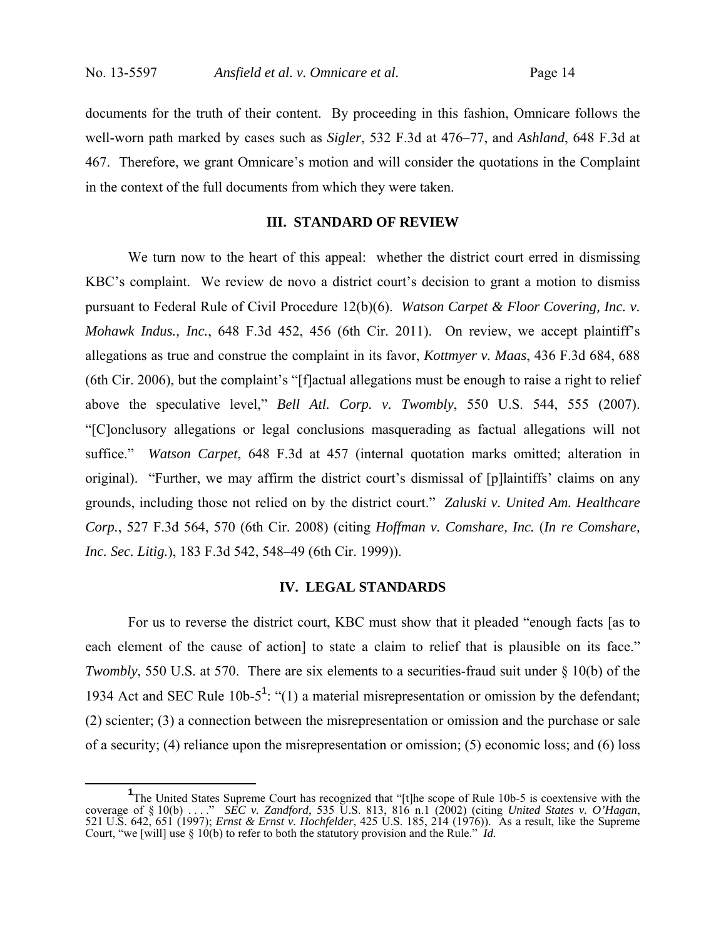documents for the truth of their content. By proceeding in this fashion, Omnicare follows the well-worn path marked by cases such as *Sigler*, 532 F.3d at 476–77, and *Ashland*, 648 F.3d at 467. Therefore, we grant Omnicare's motion and will consider the quotations in the Complaint in the context of the full documents from which they were taken.

### **III. STANDARD OF REVIEW**

We turn now to the heart of this appeal: whether the district court erred in dismissing KBC's complaint. We review de novo a district court's decision to grant a motion to dismiss pursuant to Federal Rule of Civil Procedure 12(b)(6). *Watson Carpet & Floor Covering, Inc. v. Mohawk Indus., Inc.*, 648 F.3d 452, 456 (6th Cir. 2011). On review, we accept plaintiff's allegations as true and construe the complaint in its favor, *Kottmyer v. Maas*, 436 F.3d 684, 688 (6th Cir. 2006), but the complaint's "[f]actual allegations must be enough to raise a right to relief above the speculative level," *Bell Atl. Corp. v. Twombly*, 550 U.S. 544, 555 (2007). "[C]onclusory allegations or legal conclusions masquerading as factual allegations will not suffice." *Watson Carpet*, 648 F.3d at 457 (internal quotation marks omitted; alteration in original). "Further, we may affirm the district court's dismissal of [p]laintiffs' claims on any grounds, including those not relied on by the district court." *Zaluski v. United Am. Healthcare Corp.*, 527 F.3d 564, 570 (6th Cir. 2008) (citing *Hoffman v. Comshare, Inc.* (*In re Comshare, Inc. Sec. Litig.*), 183 F.3d 542, 548–49 (6th Cir. 1999)).

### **IV. LEGAL STANDARDS**

For us to reverse the district court, KBC must show that it pleaded "enough facts [as to each element of the cause of action to state a claim to relief that is plausible on its face." *Twombly*, 550 U.S. at 570. There are six elements to a securities-fraud suit under § 10(b) of the 1934 Act and SEC Rule 10b-5<sup>1</sup>: "(1) a material misrepresentation or omission by the defendant; (2) scienter; (3) a connection between the misrepresentation or omission and the purchase or sale of a security; (4) reliance upon the misrepresentation or omission; (5) economic loss; and (6) loss

<sup>&</sup>lt;sup>1</sup>The United States Supreme Court has recognized that "[t]he scope of Rule 10b-5 is coextensive with the coverage of § 10(b) ...." *SEC v. Zandford*, 535 U.S. 813, 816 n.1 (2002) (citing *United States v. O'Hagan*, 521 U.S. 642, 651 (1997); *Ernst & Ernst v. Hochfelder*, 425 U.S. 185, 214 (1976)). As a result, like the Supre Court, "we [will] use § 10(b) to refer to both the statutory provision and the Rule." *Id.*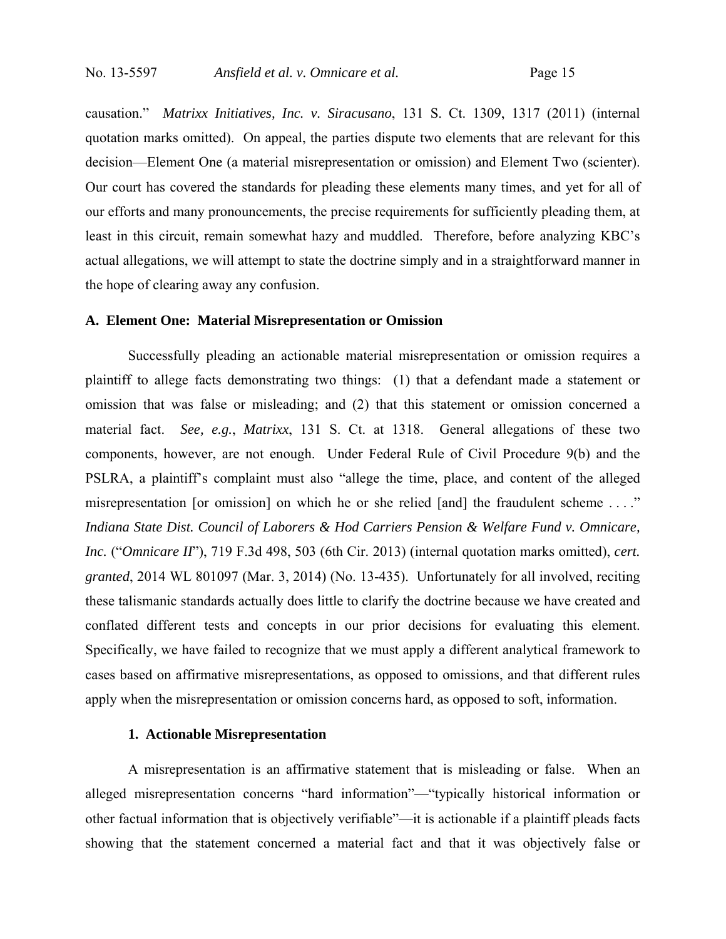causation." *Matrixx Initiatives, Inc. v. Siracusano*, 131 S. Ct. 1309, 1317 (2011) (internal quotation marks omitted). On appeal, the parties dispute two elements that are relevant for this decision—Element One (a material misrepresentation or omission) and Element Two (scienter). Our court has covered the standards for pleading these elements many times, and yet for all of our efforts and many pronouncements, the precise requirements for sufficiently pleading them, at least in this circuit, remain somewhat hazy and muddled. Therefore, before analyzing KBC's actual allegations, we will attempt to state the doctrine simply and in a straightforward manner in the hope of clearing away any confusion.

#### **A. Element One: Material Misrepresentation or Omission**

Successfully pleading an actionable material misrepresentation or omission requires a plaintiff to allege facts demonstrating two things: (1) that a defendant made a statement or omission that was false or misleading; and (2) that this statement or omission concerned a material fact. *See, e.g.*, *Matrixx*, 131 S. Ct. at 1318. General allegations of these two components, however, are not enough. Under Federal Rule of Civil Procedure 9(b) and the PSLRA, a plaintiff's complaint must also "allege the time, place, and content of the alleged misrepresentation [or omission] on which he or she relied [and] the fraudulent scheme ...." *Indiana State Dist. Council of Laborers & Hod Carriers Pension & Welfare Fund v. Omnicare, Inc.* ("*Omnicare II*"), 719 F.3d 498, 503 (6th Cir. 2013) (internal quotation marks omitted), *cert. granted*, 2014 WL 801097 (Mar. 3, 2014) (No. 13-435). Unfortunately for all involved, reciting these talismanic standards actually does little to clarify the doctrine because we have created and conflated different tests and concepts in our prior decisions for evaluating this element. Specifically, we have failed to recognize that we must apply a different analytical framework to cases based on affirmative misrepresentations, as opposed to omissions, and that different rules apply when the misrepresentation or omission concerns hard, as opposed to soft, information.

#### **1. Actionable Misrepresentation**

A misrepresentation is an affirmative statement that is misleading or false. When an alleged misrepresentation concerns "hard information"—"typically historical information or other factual information that is objectively verifiable"—it is actionable if a plaintiff pleads facts showing that the statement concerned a material fact and that it was objectively false or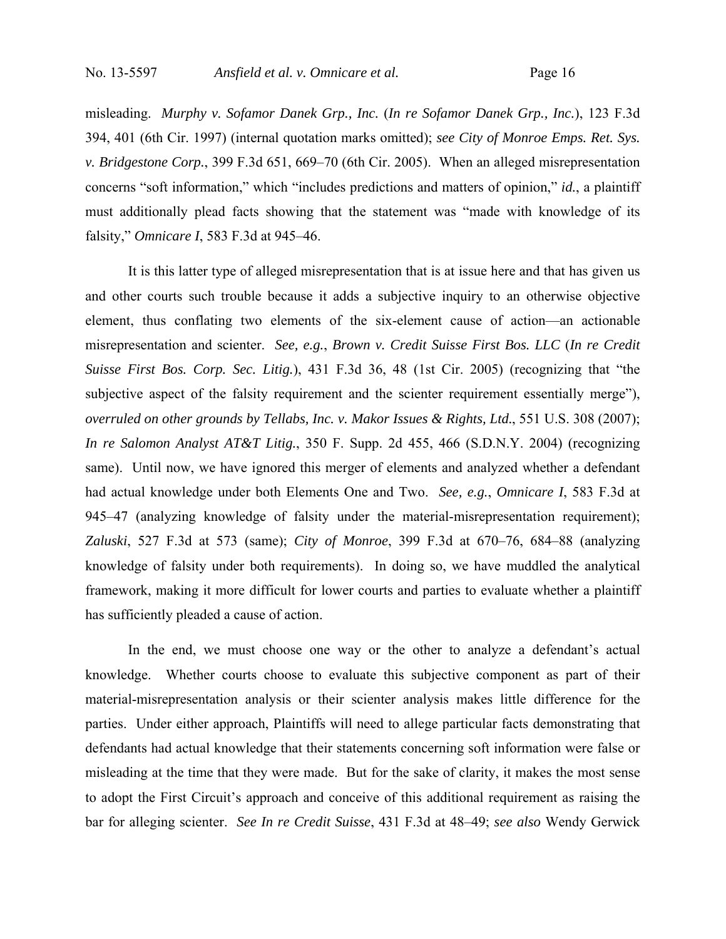misleading. *Murphy v. Sofamor Danek Grp., Inc.* (*In re Sofamor Danek Grp., Inc.*), 123 F.3d 394, 401 (6th Cir. 1997) (internal quotation marks omitted); *see City of Monroe Emps. Ret. Sys. v. Bridgestone Corp.*, 399 F.3d 651, 669–70 (6th Cir. 2005). When an alleged misrepresentation concerns "soft information," which "includes predictions and matters of opinion," *id.*, a plaintiff must additionally plead facts showing that the statement was "made with knowledge of its falsity," *Omnicare I*, 583 F.3d at 945–46.

It is this latter type of alleged misrepresentation that is at issue here and that has given us and other courts such trouble because it adds a subjective inquiry to an otherwise objective element, thus conflating two elements of the six-element cause of action—an actionable misrepresentation and scienter. *See, e.g.*, *Brown v. Credit Suisse First Bos. LLC* (*In re Credit Suisse First Bos. Corp. Sec. Litig.*), 431 F.3d 36, 48 (1st Cir. 2005) (recognizing that "the subjective aspect of the falsity requirement and the scienter requirement essentially merge"), *overruled on other grounds by Tellabs, Inc. v. Makor Issues & Rights, Ltd.*, 551 U.S. 308 (2007); *In re Salomon Analyst AT&T Litig.*, 350 F. Supp. 2d 455, 466 (S.D.N.Y. 2004) (recognizing same). Until now, we have ignored this merger of elements and analyzed whether a defendant had actual knowledge under both Elements One and Two. *See, e.g.*, *Omnicare I*, 583 F.3d at 945–47 (analyzing knowledge of falsity under the material-misrepresentation requirement); *Zaluski*, 527 F.3d at 573 (same); *City of Monroe*, 399 F.3d at 670–76, 684–88 (analyzing knowledge of falsity under both requirements). In doing so, we have muddled the analytical framework, making it more difficult for lower courts and parties to evaluate whether a plaintiff has sufficiently pleaded a cause of action.

In the end, we must choose one way or the other to analyze a defendant's actual knowledge. Whether courts choose to evaluate this subjective component as part of their material-misrepresentation analysis or their scienter analysis makes little difference for the parties. Under either approach, Plaintiffs will need to allege particular facts demonstrating that defendants had actual knowledge that their statements concerning soft information were false or misleading at the time that they were made. But for the sake of clarity, it makes the most sense to adopt the First Circuit's approach and conceive of this additional requirement as raising the bar for alleging scienter. *See In re Credit Suisse*, 431 F.3d at 48–49; *see also* Wendy Gerwick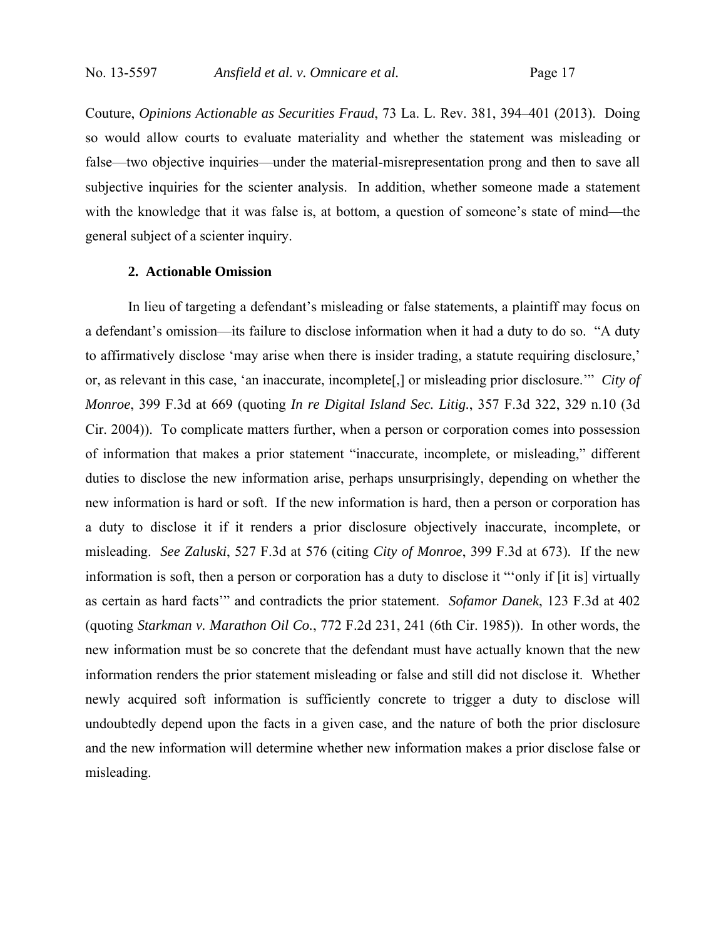Couture, *Opinions Actionable as Securities Fraud*, 73 La. L. Rev. 381, 394–401 (2013). Doing so would allow courts to evaluate materiality and whether the statement was misleading or false—two objective inquiries—under the material-misrepresentation prong and then to save all subjective inquiries for the scienter analysis. In addition, whether someone made a statement with the knowledge that it was false is, at bottom, a question of someone's state of mind—the general subject of a scienter inquiry.

### **2. Actionable Omission**

In lieu of targeting a defendant's misleading or false statements, a plaintiff may focus on a defendant's omission—its failure to disclose information when it had a duty to do so. "A duty to affirmatively disclose 'may arise when there is insider trading, a statute requiring disclosure,' or, as relevant in this case, 'an inaccurate, incomplete[,] or misleading prior disclosure.'" *City of Monroe*, 399 F.3d at 669 (quoting *In re Digital Island Sec. Litig.*, 357 F.3d 322, 329 n.10 (3d Cir. 2004)). To complicate matters further, when a person or corporation comes into possession of information that makes a prior statement "inaccurate, incomplete, or misleading," different duties to disclose the new information arise, perhaps unsurprisingly, depending on whether the new information is hard or soft. If the new information is hard, then a person or corporation has a duty to disclose it if it renders a prior disclosure objectively inaccurate, incomplete, or misleading. *See Zaluski*, 527 F.3d at 576 (citing *City of Monroe*, 399 F.3d at 673)*.* If the new information is soft, then a person or corporation has a duty to disclose it "'only if [it is] virtually as certain as hard facts'" and contradicts the prior statement. *Sofamor Danek*, 123 F.3d at 402 (quoting *Starkman v. Marathon Oil Co.*, 772 F.2d 231, 241 (6th Cir. 1985)). In other words, the new information must be so concrete that the defendant must have actually known that the new information renders the prior statement misleading or false and still did not disclose it. Whether newly acquired soft information is sufficiently concrete to trigger a duty to disclose will undoubtedly depend upon the facts in a given case, and the nature of both the prior disclosure and the new information will determine whether new information makes a prior disclose false or misleading.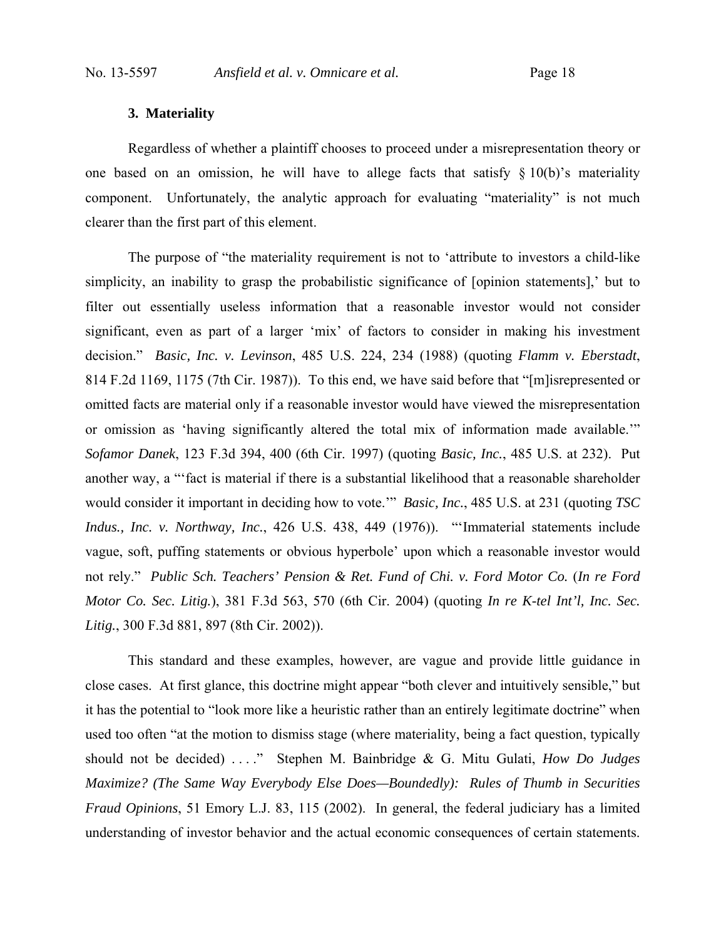### **3. Materiality**

Regardless of whether a plaintiff chooses to proceed under a misrepresentation theory or one based on an omission, he will have to allege facts that satisfy  $\S 10(b)$ 's materiality component. Unfortunately, the analytic approach for evaluating "materiality" is not much clearer than the first part of this element.

The purpose of "the materiality requirement is not to 'attribute to investors a child-like simplicity, an inability to grasp the probabilistic significance of [opinion statements],' but to filter out essentially useless information that a reasonable investor would not consider significant, even as part of a larger 'mix' of factors to consider in making his investment decision." *Basic, Inc. v. Levinson*, 485 U.S. 224, 234 (1988) (quoting *Flamm v. Eberstadt*, 814 F.2d 1169, 1175 (7th Cir. 1987)). To this end, we have said before that "[m]isrepresented or omitted facts are material only if a reasonable investor would have viewed the misrepresentation or omission as 'having significantly altered the total mix of information made available.'" *Sofamor Danek*, 123 F.3d 394, 400 (6th Cir. 1997) (quoting *Basic, Inc.*, 485 U.S. at 232). Put another way, a "'fact is material if there is a substantial likelihood that a reasonable shareholder would consider it important in deciding how to vote.'" *Basic, Inc.*, 485 U.S. at 231 (quoting *TSC Indus., Inc. v. Northway, Inc.*, 426 U.S. 438, 449 (1976)). "'Immaterial statements include vague, soft, puffing statements or obvious hyperbole' upon which a reasonable investor would not rely." *Public Sch. Teachers' Pension & Ret. Fund of Chi. v. Ford Motor Co.* (*In re Ford Motor Co. Sec. Litig.*), 381 F.3d 563, 570 (6th Cir. 2004) (quoting *In re K-tel Int'l, Inc. Sec. Litig.*, 300 F.3d 881, 897 (8th Cir. 2002)).

This standard and these examples, however, are vague and provide little guidance in close cases. At first glance, this doctrine might appear "both clever and intuitively sensible," but it has the potential to "look more like a heuristic rather than an entirely legitimate doctrine" when used too often "at the motion to dismiss stage (where materiality, being a fact question, typically should not be decided) . . . ." Stephen M. Bainbridge & G. Mitu Gulati, *How Do Judges Maximize? (The Same Way Everybody Else Does—Boundedly): Rules of Thumb in Securities Fraud Opinions*, 51 Emory L.J. 83, 115 (2002). In general, the federal judiciary has a limited understanding of investor behavior and the actual economic consequences of certain statements.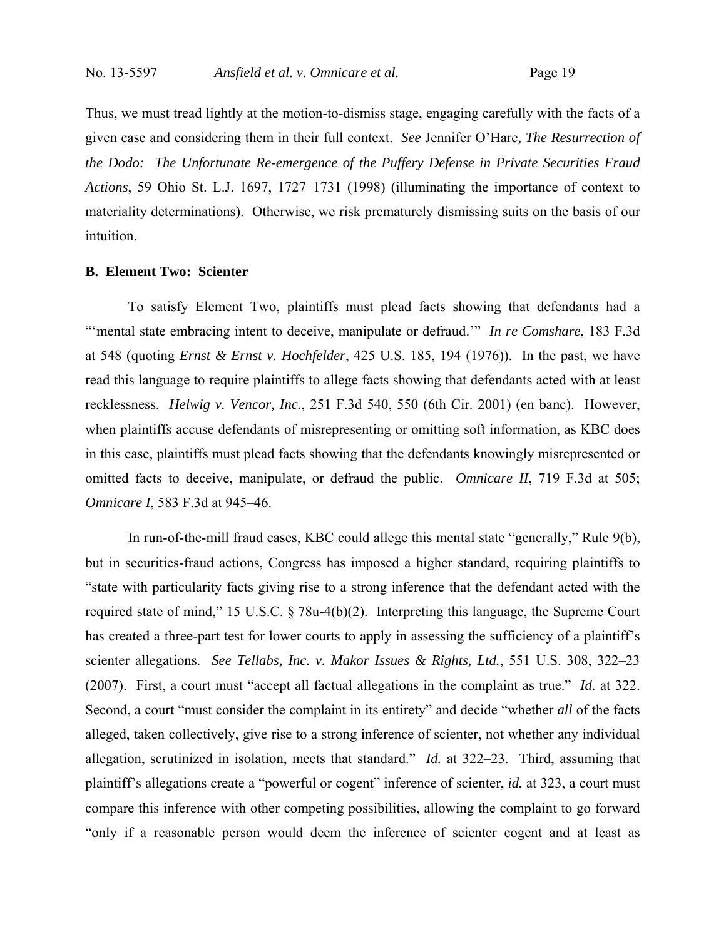Thus, we must tread lightly at the motion-to-dismiss stage, engaging carefully with the facts of a given case and considering them in their full context. *See* Jennifer O'Hare*, The Resurrection of the Dodo: The Unfortunate Re-emergence of the Puffery Defense in Private Securities Fraud Actions*, 59 Ohio St. L.J. 1697, 1727–1731 (1998) (illuminating the importance of context to materiality determinations). Otherwise, we risk prematurely dismissing suits on the basis of our intuition.

#### **B. Element Two: Scienter**

To satisfy Element Two, plaintiffs must plead facts showing that defendants had a "mental state embracing intent to deceive, manipulate or defraud." *In re Comshare*, 183 F.3d at 548 (quoting *Ernst & Ernst v. Hochfelder*, 425 U.S. 185, 194 (1976)). In the past, we have read this language to require plaintiffs to allege facts showing that defendants acted with at least recklessness. *Helwig v. Vencor, Inc.*, 251 F.3d 540, 550 (6th Cir. 2001) (en banc). However, when plaintiffs accuse defendants of misrepresenting or omitting soft information, as KBC does in this case, plaintiffs must plead facts showing that the defendants knowingly misrepresented or omitted facts to deceive, manipulate, or defraud the public. *Omnicare II*, 719 F.3d at 505; *Omnicare I*, 583 F.3d at 945–46.

In run-of-the-mill fraud cases, KBC could allege this mental state "generally," Rule 9(b), but in securities-fraud actions, Congress has imposed a higher standard, requiring plaintiffs to "state with particularity facts giving rise to a strong inference that the defendant acted with the required state of mind," 15 U.S.C. § 78u-4(b)(2). Interpreting this language, the Supreme Court has created a three-part test for lower courts to apply in assessing the sufficiency of a plaintiff's scienter allegations. *See Tellabs, Inc. v. Makor Issues & Rights, Ltd.*, 551 U.S. 308, 322–23 (2007). First, a court must "accept all factual allegations in the complaint as true." *Id.* at 322. Second, a court "must consider the complaint in its entirety" and decide "whether *all* of the facts alleged, taken collectively, give rise to a strong inference of scienter, not whether any individual allegation, scrutinized in isolation, meets that standard." *Id.* at 322–23. Third, assuming that plaintiff's allegations create a "powerful or cogent" inference of scienter, *id.* at 323, a court must compare this inference with other competing possibilities, allowing the complaint to go forward "only if a reasonable person would deem the inference of scienter cogent and at least as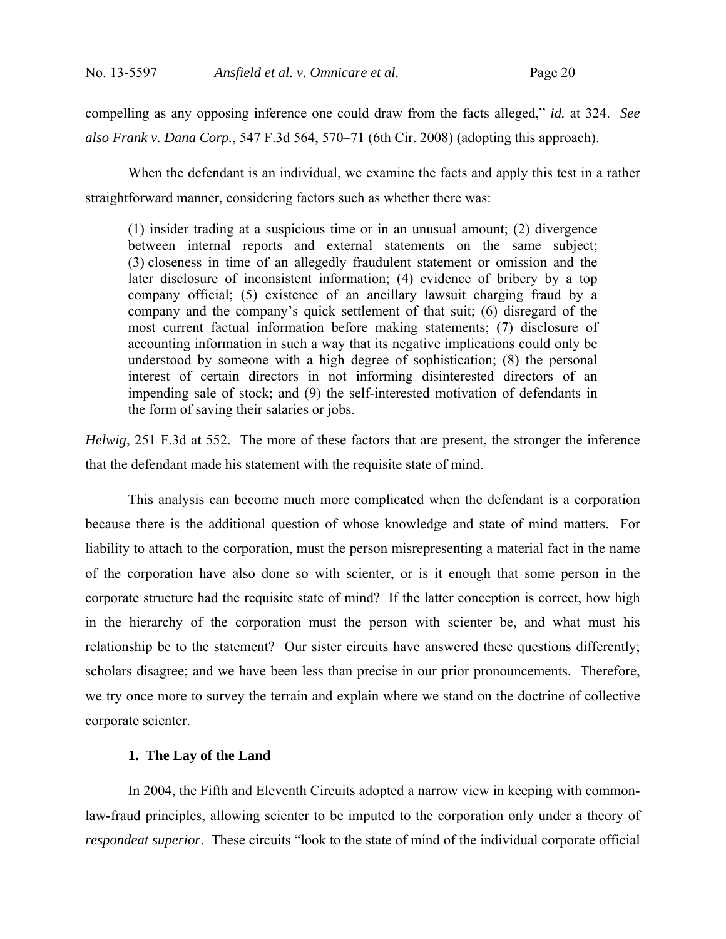compelling as any opposing inference one could draw from the facts alleged," *id.* at 324. *See also Frank v. Dana Corp.*, 547 F.3d 564, 570–71 (6th Cir. 2008) (adopting this approach).

When the defendant is an individual, we examine the facts and apply this test in a rather straightforward manner, considering factors such as whether there was:

(1) insider trading at a suspicious time or in an unusual amount; (2) divergence between internal reports and external statements on the same subject; (3) closeness in time of an allegedly fraudulent statement or omission and the later disclosure of inconsistent information; (4) evidence of bribery by a top company official; (5) existence of an ancillary lawsuit charging fraud by a company and the company's quick settlement of that suit; (6) disregard of the most current factual information before making statements; (7) disclosure of accounting information in such a way that its negative implications could only be understood by someone with a high degree of sophistication; (8) the personal interest of certain directors in not informing disinterested directors of an impending sale of stock; and (9) the self-interested motivation of defendants in the form of saving their salaries or jobs.

*Helwig*, 251 F.3d at 552. The more of these factors that are present, the stronger the inference that the defendant made his statement with the requisite state of mind.

This analysis can become much more complicated when the defendant is a corporation because there is the additional question of whose knowledge and state of mind matters. For liability to attach to the corporation, must the person misrepresenting a material fact in the name of the corporation have also done so with scienter, or is it enough that some person in the corporate structure had the requisite state of mind? If the latter conception is correct, how high in the hierarchy of the corporation must the person with scienter be, and what must his relationship be to the statement? Our sister circuits have answered these questions differently; scholars disagree; and we have been less than precise in our prior pronouncements. Therefore, we try once more to survey the terrain and explain where we stand on the doctrine of collective corporate scienter.

### **1. The Lay of the Land**

In 2004, the Fifth and Eleventh Circuits adopted a narrow view in keeping with commonlaw-fraud principles, allowing scienter to be imputed to the corporation only under a theory of *respondeat superior*. These circuits "look to the state of mind of the individual corporate official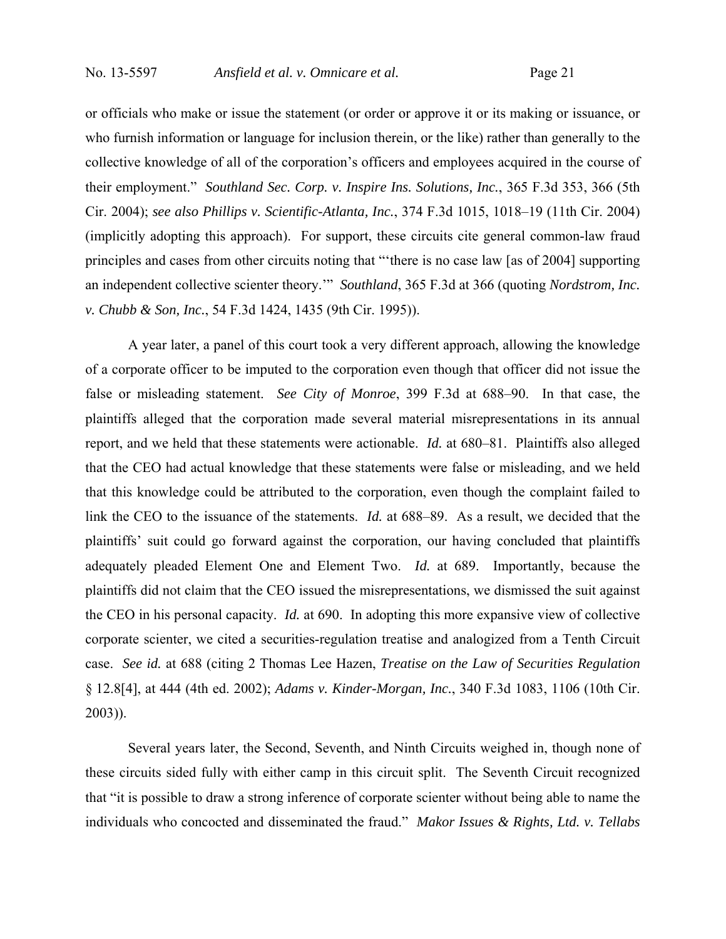or officials who make or issue the statement (or order or approve it or its making or issuance, or who furnish information or language for inclusion therein, or the like) rather than generally to the collective knowledge of all of the corporation's officers and employees acquired in the course of their employment." *Southland Sec. Corp. v. Inspire Ins. Solutions, Inc.*, 365 F.3d 353, 366 (5th Cir. 2004); *see also Phillips v. Scientific-Atlanta, Inc.*, 374 F.3d 1015, 1018–19 (11th Cir. 2004) (implicitly adopting this approach). For support, these circuits cite general common-law fraud principles and cases from other circuits noting that "'there is no case law [as of 2004] supporting an independent collective scienter theory.'" *Southland*, 365 F.3d at 366 (quoting *Nordstrom, Inc. v. Chubb & Son, Inc.*, 54 F.3d 1424, 1435 (9th Cir. 1995)).

A year later, a panel of this court took a very different approach, allowing the knowledge of a corporate officer to be imputed to the corporation even though that officer did not issue the false or misleading statement. *See City of Monroe*, 399 F.3d at 688–90. In that case, the plaintiffs alleged that the corporation made several material misrepresentations in its annual report, and we held that these statements were actionable. *Id.* at 680–81. Plaintiffs also alleged that the CEO had actual knowledge that these statements were false or misleading, and we held that this knowledge could be attributed to the corporation, even though the complaint failed to link the CEO to the issuance of the statements. *Id.* at 688–89. As a result, we decided that the plaintiffs' suit could go forward against the corporation, our having concluded that plaintiffs adequately pleaded Element One and Element Two. *Id.* at 689. Importantly, because the plaintiffs did not claim that the CEO issued the misrepresentations, we dismissed the suit against the CEO in his personal capacity. *Id.* at 690. In adopting this more expansive view of collective corporate scienter, we cited a securities-regulation treatise and analogized from a Tenth Circuit case. *See id.* at 688 (citing 2 Thomas Lee Hazen, *Treatise on the Law of Securities Regulation* § 12.8[4], at 444 (4th ed. 2002); *Adams v. Kinder-Morgan, Inc.*, 340 F.3d 1083, 1106 (10th Cir. 2003)).

Several years later, the Second, Seventh, and Ninth Circuits weighed in, though none of these circuits sided fully with either camp in this circuit split. The Seventh Circuit recognized that "it is possible to draw a strong inference of corporate scienter without being able to name the individuals who concocted and disseminated the fraud." *Makor Issues & Rights, Ltd. v. Tellabs*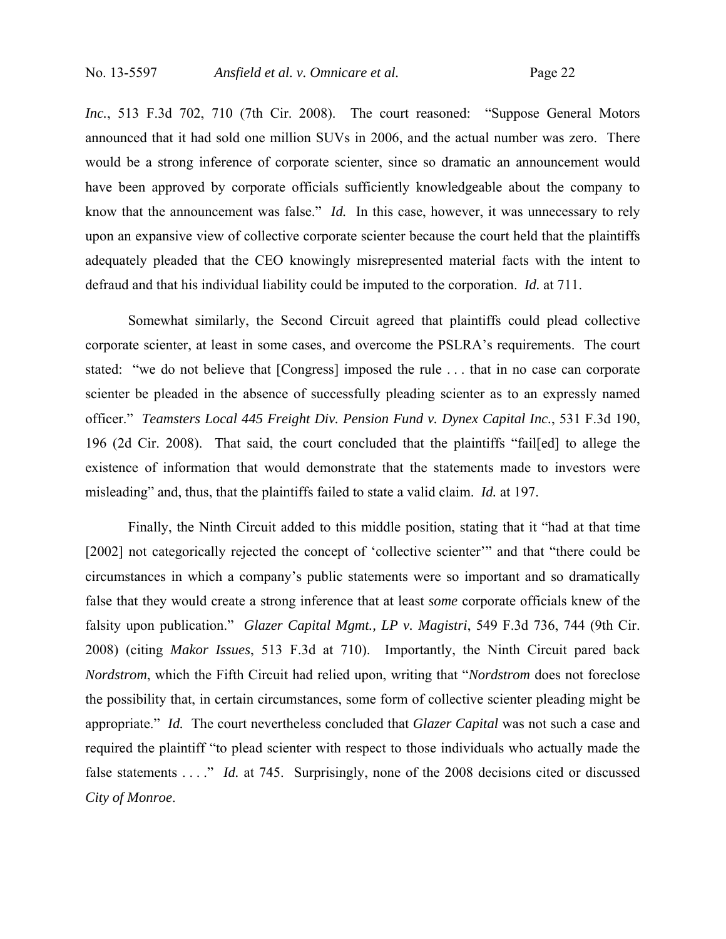*Inc.*, 513 F.3d 702, 710 (7th Cir. 2008). The court reasoned: "Suppose General Motors announced that it had sold one million SUVs in 2006, and the actual number was zero. There would be a strong inference of corporate scienter, since so dramatic an announcement would have been approved by corporate officials sufficiently knowledgeable about the company to know that the announcement was false." *Id.* In this case, however, it was unnecessary to rely upon an expansive view of collective corporate scienter because the court held that the plaintiffs adequately pleaded that the CEO knowingly misrepresented material facts with the intent to defraud and that his individual liability could be imputed to the corporation. *Id.* at 711.

Somewhat similarly, the Second Circuit agreed that plaintiffs could plead collective corporate scienter, at least in some cases, and overcome the PSLRA's requirements. The court stated: "we do not believe that [Congress] imposed the rule . . . that in no case can corporate scienter be pleaded in the absence of successfully pleading scienter as to an expressly named officer." *Teamsters Local 445 Freight Div. Pension Fund v. Dynex Capital Inc.*, 531 F.3d 190, 196 (2d Cir. 2008). That said, the court concluded that the plaintiffs "fail[ed] to allege the existence of information that would demonstrate that the statements made to investors were misleading" and, thus, that the plaintiffs failed to state a valid claim. *Id.* at 197.

Finally, the Ninth Circuit added to this middle position, stating that it "had at that time [2002] not categorically rejected the concept of 'collective scienter'" and that "there could be circumstances in which a company's public statements were so important and so dramatically false that they would create a strong inference that at least *some* corporate officials knew of the falsity upon publication." *Glazer Capital Mgmt., LP v. Magistri*, 549 F.3d 736, 744 (9th Cir. 2008) (citing *Makor Issues*, 513 F.3d at 710). Importantly, the Ninth Circuit pared back *Nordstrom*, which the Fifth Circuit had relied upon, writing that "*Nordstrom* does not foreclose the possibility that, in certain circumstances, some form of collective scienter pleading might be appropriate." *Id.* The court nevertheless concluded that *Glazer Capital* was not such a case and required the plaintiff "to plead scienter with respect to those individuals who actually made the false statements . . . ." *Id.* at 745. Surprisingly, none of the 2008 decisions cited or discussed *City of Monroe*.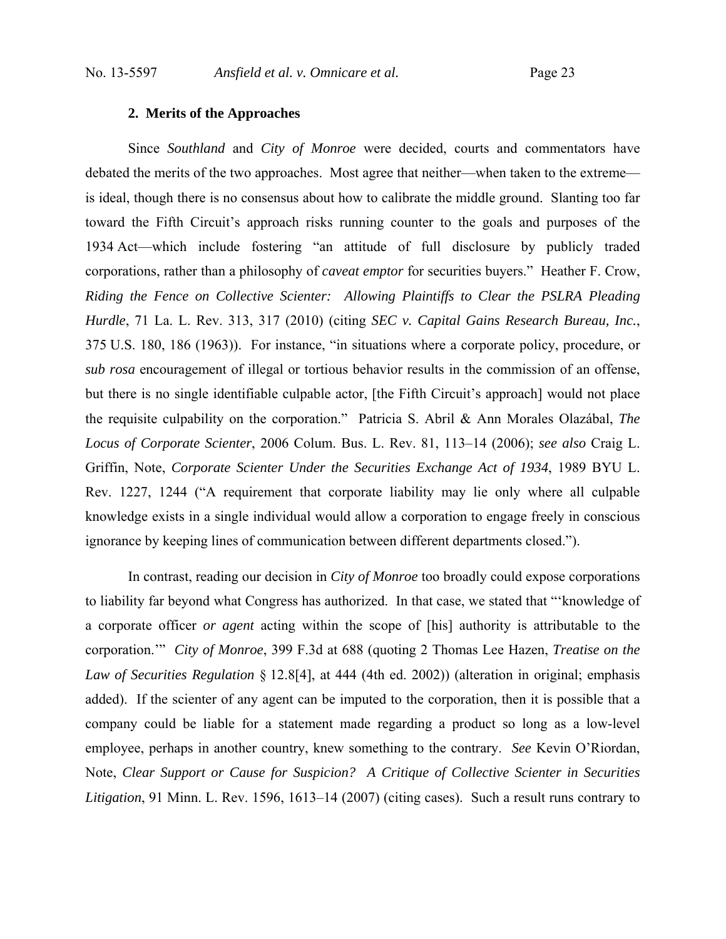## **2. Merits of the Approaches**

Since *Southland* and *City of Monroe* were decided, courts and commentators have debated the merits of the two approaches. Most agree that neither—when taken to the extreme is ideal, though there is no consensus about how to calibrate the middle ground. Slanting too far toward the Fifth Circuit's approach risks running counter to the goals and purposes of the 1934 Act—which include fostering "an attitude of full disclosure by publicly traded corporations, rather than a philosophy of *caveat emptor* for securities buyers." Heather F. Crow, *Riding the Fence on Collective Scienter: Allowing Plaintiffs to Clear the PSLRA Pleading Hurdle*, 71 La. L. Rev. 313, 317 (2010) (citing *SEC v. Capital Gains Research Bureau, Inc.*, 375 U.S. 180, 186 (1963)). For instance, "in situations where a corporate policy, procedure, or *sub rosa* encouragement of illegal or tortious behavior results in the commission of an offense, but there is no single identifiable culpable actor, [the Fifth Circuit's approach] would not place the requisite culpability on the corporation." Patricia S. Abril & Ann Morales Olazábal, *The Locus of Corporate Scienter*, 2006 Colum. Bus. L. Rev. 81, 113–14 (2006); *see also* Craig L. Griffin, Note, *Corporate Scienter Under the Securities Exchange Act of 1934*, 1989 BYU L. Rev. 1227, 1244 ("A requirement that corporate liability may lie only where all culpable knowledge exists in a single individual would allow a corporation to engage freely in conscious ignorance by keeping lines of communication between different departments closed.").

 In contrast, reading our decision in *City of Monroe* too broadly could expose corporations to liability far beyond what Congress has authorized. In that case, we stated that "'knowledge of a corporate officer *or agent* acting within the scope of [his] authority is attributable to the corporation.'" *City of Monroe*, 399 F.3d at 688 (quoting 2 Thomas Lee Hazen, *Treatise on the Law of Securities Regulation* § 12.8[4], at 444 (4th ed. 2002)) (alteration in original; emphasis added). If the scienter of any agent can be imputed to the corporation, then it is possible that a company could be liable for a statement made regarding a product so long as a low-level employee, perhaps in another country, knew something to the contrary. *See* Kevin O'Riordan, Note, *Clear Support or Cause for Suspicion? A Critique of Collective Scienter in Securities Litigation*, 91 Minn. L. Rev. 1596, 1613–14 (2007) (citing cases). Such a result runs contrary to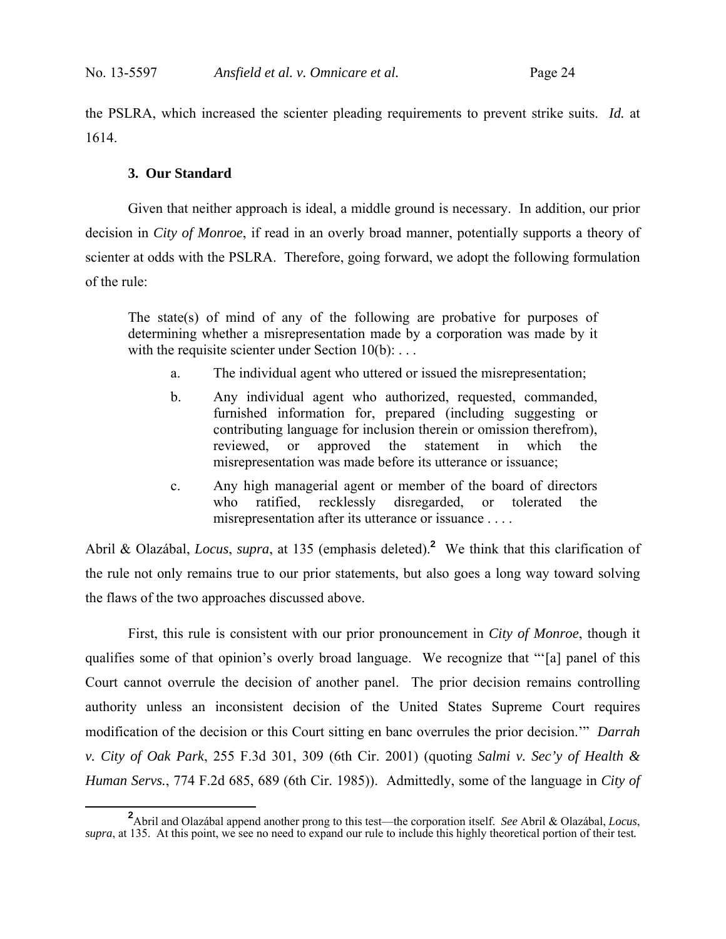the PSLRA, which increased the scienter pleading requirements to prevent strike suits. *Id.* at 1614.

#### **3. Our Standard**

Given that neither approach is ideal, a middle ground is necessary. In addition, our prior decision in *City of Monroe*, if read in an overly broad manner, potentially supports a theory of scienter at odds with the PSLRA. Therefore, going forward, we adopt the following formulation of the rule:

The state(s) of mind of any of the following are probative for purposes of determining whether a misrepresentation made by a corporation was made by it with the requisite scienter under Section  $10(b)$ : ...

- a. The individual agent who uttered or issued the misrepresentation;
- b. Any individual agent who authorized, requested, commanded, furnished information for, prepared (including suggesting or contributing language for inclusion therein or omission therefrom), reviewed, or approved the statement in which the misrepresentation was made before its utterance or issuance;
- c. Any high managerial agent or member of the board of directors who ratified, recklessly disregarded, or tolerated the misrepresentation after its utterance or issuance . . . .

Abril & Olazábal, *Locus*, *supra*, at 135 (emphasis deleted).**<sup>2</sup>** We think that this clarification of the rule not only remains true to our prior statements, but also goes a long way toward solving the flaws of the two approaches discussed above.

 First, this rule is consistent with our prior pronouncement in *City of Monroe*, though it qualifies some of that opinion's overly broad language. We recognize that "'[a] panel of this Court cannot overrule the decision of another panel. The prior decision remains controlling authority unless an inconsistent decision of the United States Supreme Court requires modification of the decision or this Court sitting en banc overrules the prior decision.'" *Darrah v. City of Oak Park*, 255 F.3d 301, 309 (6th Cir. 2001) (quoting *Salmi v. Sec'y of Health & Human Servs.*, 774 F.2d 685, 689 (6th Cir. 1985)). Admittedly, some of the language in *City of* 

**<sup>2</sup>** <sup>2</sup>Abril and Olazábal append another prong to this test—the corporation itself. *See* Abril & Olazábal, *Locus*, *supra*, at 135. At this point, we see no need to expand our rule to include this highly theoretical portion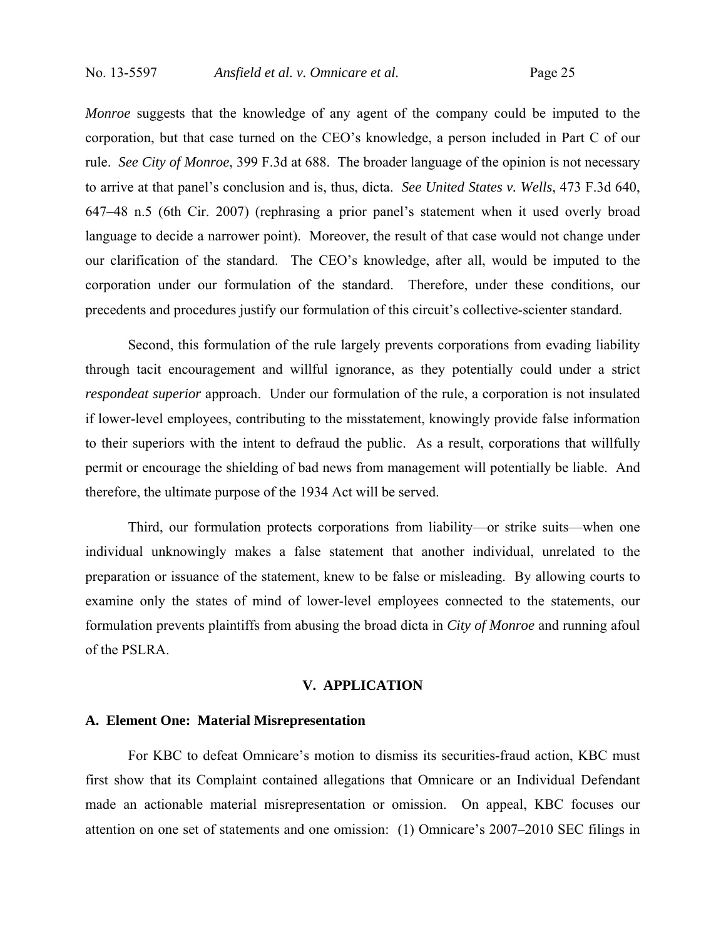*Monroe* suggests that the knowledge of any agent of the company could be imputed to the corporation, but that case turned on the CEO's knowledge, a person included in Part C of our rule. *See City of Monroe*, 399 F.3d at 688. The broader language of the opinion is not necessary to arrive at that panel's conclusion and is, thus, dicta. *See United States v. Wells*, 473 F.3d 640, 647–48 n.5 (6th Cir. 2007) (rephrasing a prior panel's statement when it used overly broad language to decide a narrower point).Moreover, the result of that case would not change under our clarification of the standard. The CEO's knowledge, after all, would be imputed to the corporation under our formulation of the standard. Therefore, under these conditions, our precedents and procedures justify our formulation of this circuit's collective-scienter standard.

 Second, this formulation of the rule largely prevents corporations from evading liability through tacit encouragement and willful ignorance, as they potentially could under a strict *respondeat superior* approach. Under our formulation of the rule, a corporation is not insulated if lower-level employees, contributing to the misstatement, knowingly provide false information to their superiors with the intent to defraud the public. As a result, corporations that willfully permit or encourage the shielding of bad news from management will potentially be liable. And therefore, the ultimate purpose of the 1934 Act will be served.

 Third, our formulation protects corporations from liability—or strike suits—when one individual unknowingly makes a false statement that another individual, unrelated to the preparation or issuance of the statement, knew to be false or misleading. By allowing courts to examine only the states of mind of lower-level employees connected to the statements, our formulation prevents plaintiffs from abusing the broad dicta in *City of Monroe* and running afoul of the PSLRA.

# **V. APPLICATION**

#### **A. Element One: Material Misrepresentation**

For KBC to defeat Omnicare's motion to dismiss its securities-fraud action, KBC must first show that its Complaint contained allegations that Omnicare or an Individual Defendant made an actionable material misrepresentation or omission. On appeal, KBC focuses our attention on one set of statements and one omission: (1) Omnicare's 2007–2010 SEC filings in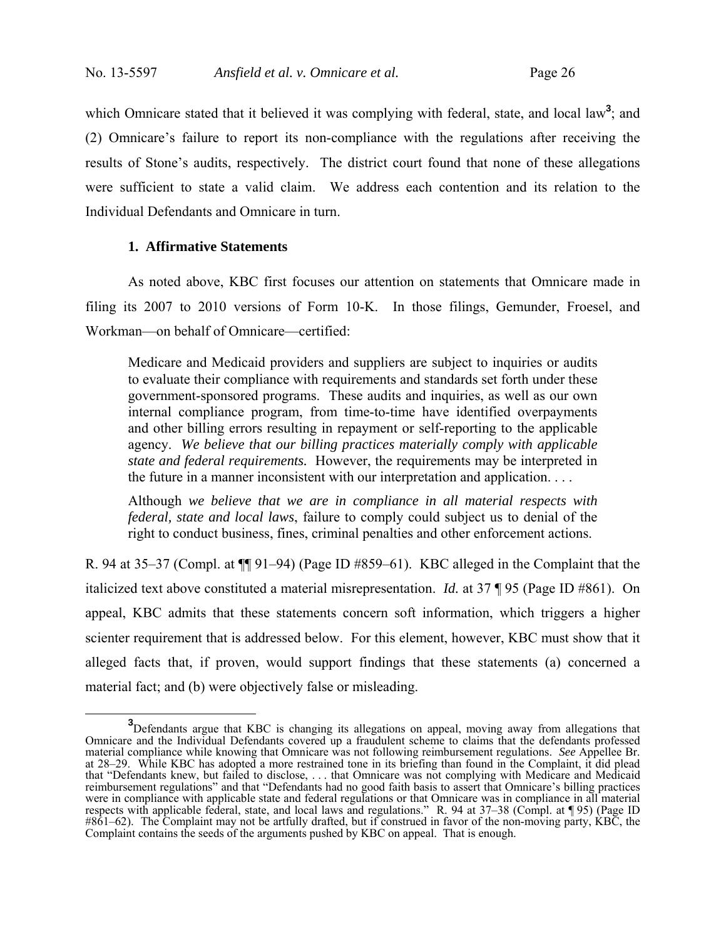which Omnicare stated that it believed it was complying with federal, state, and local law<sup>3</sup>; and (2) Omnicare's failure to report its non-compliance with the regulations after receiving the results of Stone's audits, respectively. The district court found that none of these allegations were sufficient to state a valid claim. We address each contention and its relation to the Individual Defendants and Omnicare in turn.

### **1. Affirmative Statements**

As noted above, KBC first focuses our attention on statements that Omnicare made in filing its 2007 to 2010 versions of Form 10-K. In those filings, Gemunder, Froesel, and Workman—on behalf of Omnicare—certified:

Medicare and Medicaid providers and suppliers are subject to inquiries or audits to evaluate their compliance with requirements and standards set forth under these government-sponsored programs. These audits and inquiries, as well as our own internal compliance program, from time-to-time have identified overpayments and other billing errors resulting in repayment or self-reporting to the applicable agency. *We believe that our billing practices materially comply with applicable state and federal requirements.* However, the requirements may be interpreted in the future in a manner inconsistent with our interpretation and application. . . .

Although *we believe that we are in compliance in all material respects with federal, state and local laws*, failure to comply could subject us to denial of the right to conduct business, fines, criminal penalties and other enforcement actions.

R. 94 at 35–37 (Compl. at ¶¶ 91–94) (Page ID #859–61). KBC alleged in the Complaint that the italicized text above constituted a material misrepresentation. *Id.* at 37 ¶ 95 (Page ID #861). On appeal, KBC admits that these statements concern soft information, which triggers a higher scienter requirement that is addressed below. For this element, however, KBC must show that it alleged facts that, if proven, would support findings that these statements (a) concerned a material fact; and (b) were objectively false or misleading.

**<sup>3</sup>** <sup>3</sup>Defendants argue that KBC is changing its allegations on appeal, moving away from allegations that Omnicare and the Individual Defendants covered up a fraudulent scheme to claims that the defendants professed material compliance while knowing that Omnicare was not following reimbursement regulations. *See* Appellee Br. at 28–29. While KBC has adopted a more restrained tone in its briefing than found in the Complaint, it did plead that "Defendants knew, but failed to disclose, . . . that Omnicare was not complying with Medicare and Medicaid reimbursement regulations" and that "Defendants had no good faith basis to assert that Omnicare's billing practices were in compliance with applicable state and federal regulations or that Omnicare was in compliance in all material respects with applicable federal, state, and local laws and regulations." R. 94 at 37–38 (Compl. at ¶ 95) (Page ID #861–62). The Complaint may not be artfully drafted, but if construed in favor of the non-moving party, KBC, the Complaint contains the seeds of the arguments pushed by KBC on appeal. That is enough.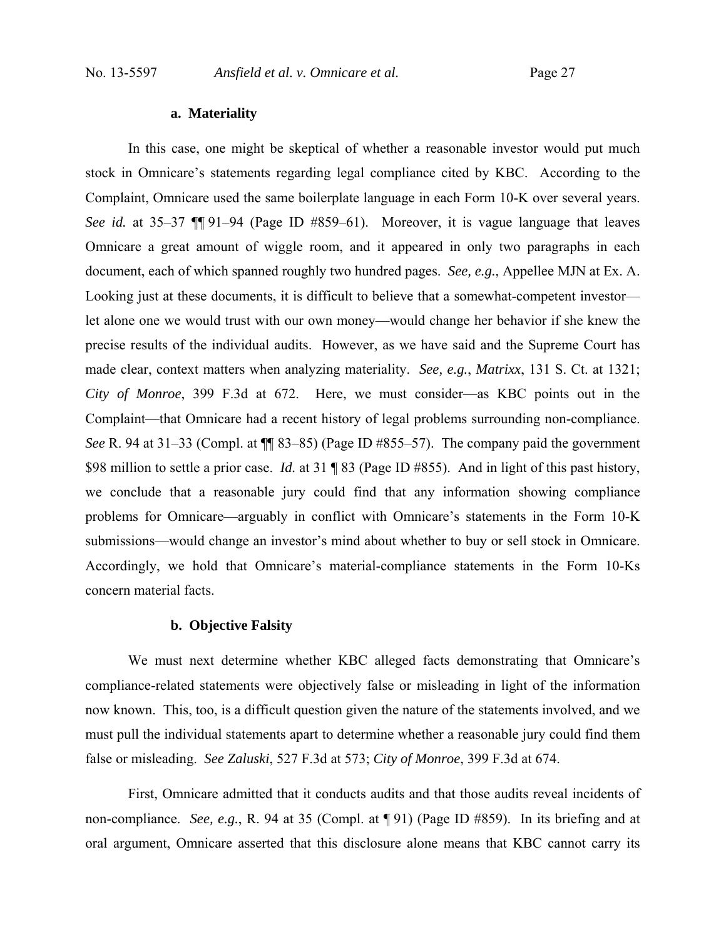#### **a. Materiality**

 In this case, one might be skeptical of whether a reasonable investor would put much stock in Omnicare's statements regarding legal compliance cited by KBC. According to the Complaint, Omnicare used the same boilerplate language in each Form 10-K over several years. *See id.* at 35–37 ¶¶ 91–94 (Page ID #859–61). Moreover, it is vague language that leaves Omnicare a great amount of wiggle room, and it appeared in only two paragraphs in each document, each of which spanned roughly two hundred pages. *See, e.g.*, Appellee MJN at Ex. A. Looking just at these documents, it is difficult to believe that a somewhat-competent investor let alone one we would trust with our own money—would change her behavior if she knew the precise results of the individual audits. However, as we have said and the Supreme Court has made clear, context matters when analyzing materiality. *See, e.g.*, *Matrixx*, 131 S. Ct. at 1321; *City of Monroe*, 399 F.3d at 672. Here, we must consider—as KBC points out in the Complaint—that Omnicare had a recent history of legal problems surrounding non-compliance. *See* R. 94 at 31–33 (Compl. at ¶¶ 83–85) (Page ID #855–57). The company paid the government \$98 million to settle a prior case. *Id.* at 31 ¶ 83 (Page ID #855). And in light of this past history, we conclude that a reasonable jury could find that any information showing compliance problems for Omnicare—arguably in conflict with Omnicare's statements in the Form 10-K submissions—would change an investor's mind about whether to buy or sell stock in Omnicare. Accordingly, we hold that Omnicare's material-compliance statements in the Form 10-Ks concern material facts.

#### **b. Objective Falsity**

 We must next determine whether KBC alleged facts demonstrating that Omnicare's compliance-related statements were objectively false or misleading in light of the information now known. This, too, is a difficult question given the nature of the statements involved, and we must pull the individual statements apart to determine whether a reasonable jury could find them false or misleading. *See Zaluski*, 527 F.3d at 573; *City of Monroe*, 399 F.3d at 674.

First, Omnicare admitted that it conducts audits and that those audits reveal incidents of non-compliance. *See, e.g.*, R. 94 at 35 (Compl. at ¶ 91) (Page ID #859). In its briefing and at oral argument, Omnicare asserted that this disclosure alone means that KBC cannot carry its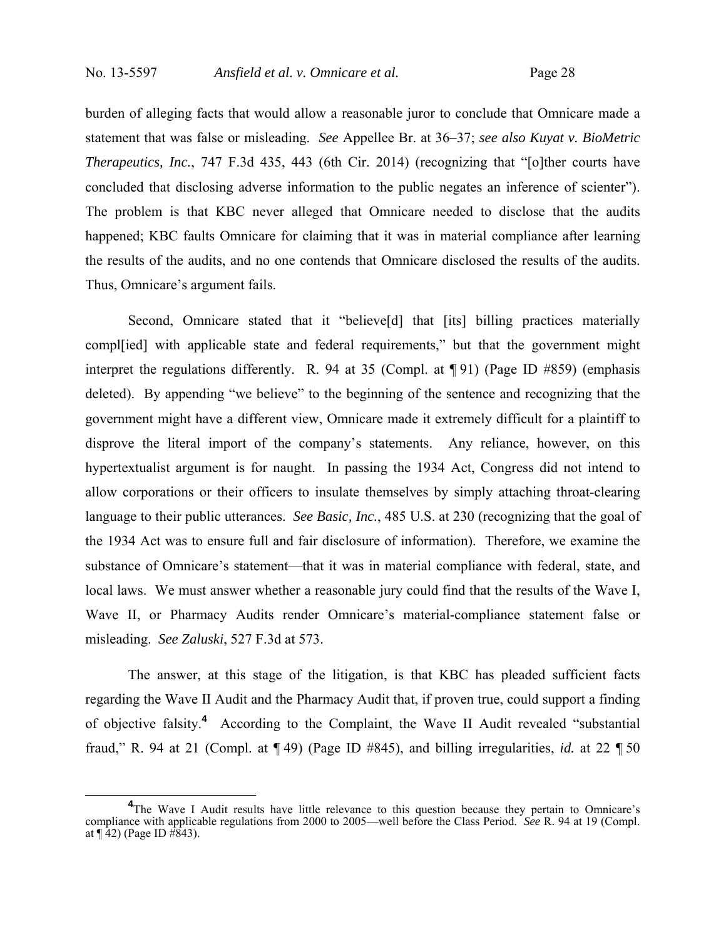burden of alleging facts that would allow a reasonable juror to conclude that Omnicare made a statement that was false or misleading. *See* Appellee Br. at 36–37; *see also Kuyat v. BioMetric Therapeutics, Inc.*, 747 F.3d 435, 443 (6th Cir. 2014) (recognizing that "[o]ther courts have concluded that disclosing adverse information to the public negates an inference of scienter"). The problem is that KBC never alleged that Omnicare needed to disclose that the audits happened; KBC faults Omnicare for claiming that it was in material compliance after learning the results of the audits, and no one contends that Omnicare disclosed the results of the audits. Thus, Omnicare's argument fails.

 Second, Omnicare stated that it "believe[d] that [its] billing practices materially compl[ied] with applicable state and federal requirements," but that the government might interpret the regulations differently. R. 94 at 35 (Compl. at ¶ 91) (Page ID #859) (emphasis deleted). By appending "we believe" to the beginning of the sentence and recognizing that the government might have a different view, Omnicare made it extremely difficult for a plaintiff to disprove the literal import of the company's statements. Any reliance, however, on this hypertextualist argument is for naught. In passing the 1934 Act, Congress did not intend to allow corporations or their officers to insulate themselves by simply attaching throat-clearing language to their public utterances. *See Basic, Inc.*, 485 U.S. at 230 (recognizing that the goal of the 1934 Act was to ensure full and fair disclosure of information). Therefore, we examine the substance of Omnicare's statement—that it was in material compliance with federal, state, and local laws. We must answer whether a reasonable jury could find that the results of the Wave I, Wave II, or Pharmacy Audits render Omnicare's material-compliance statement false or misleading. *See Zaluski*, 527 F.3d at 573.

 The answer, at this stage of the litigation, is that KBC has pleaded sufficient facts regarding the Wave II Audit and the Pharmacy Audit that, if proven true, could support a finding of objective falsity.**<sup>4</sup>** According to the Complaint, the Wave II Audit revealed "substantial fraud," R. 94 at 21 (Compl. at ¶ 49) (Page ID #845), and billing irregularities, *id.* at 22 ¶ 50

<sup>&</sup>lt;sup>4</sup>The Wave I Audit results have little relevance to this question because they pertain to Omnicare's compliance with applicable regulations from 2000 to 2005—well before the Class Period. *See* R. 94 at 19 (Compl. at  $\P$  42) (Page ID  $\#843$ ).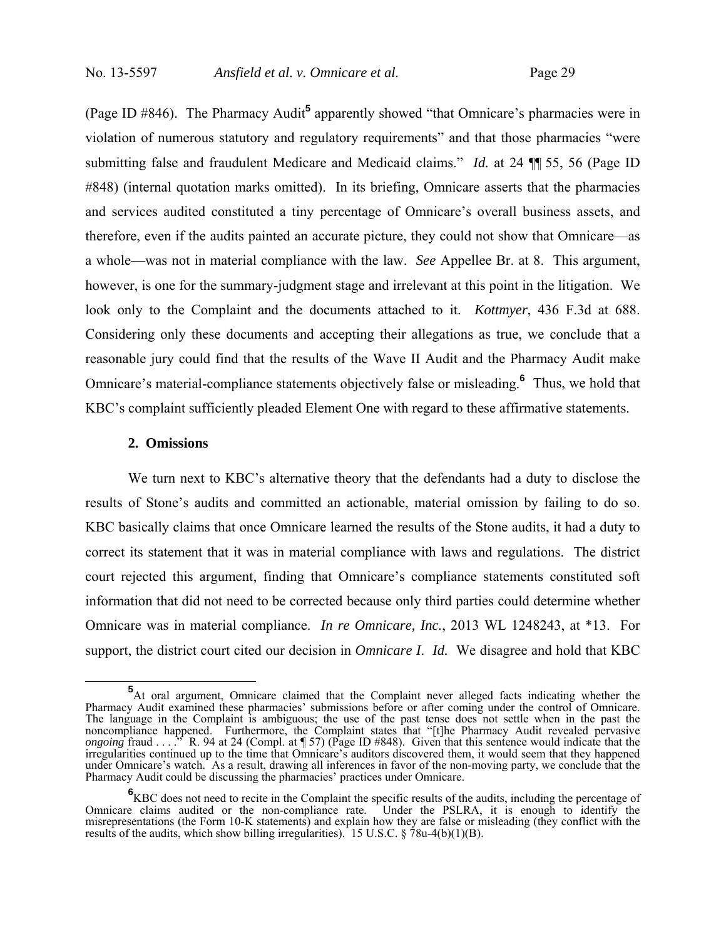(Page ID #846). The Pharmacy Audit<sup>5</sup> apparently showed "that Omnicare's pharmacies were in violation of numerous statutory and regulatory requirements" and that those pharmacies "were submitting false and fraudulent Medicare and Medicaid claims." *Id.* at 24 ¶¶ 55, 56 (Page ID #848) (internal quotation marks omitted). In its briefing, Omnicare asserts that the pharmacies and services audited constituted a tiny percentage of Omnicare's overall business assets, and therefore, even if the audits painted an accurate picture, they could not show that Omnicare—as a whole—was not in material compliance with the law. *See* Appellee Br. at 8. This argument, however, is one for the summary-judgment stage and irrelevant at this point in the litigation. We look only to the Complaint and the documents attached to it. *Kottmyer*, 436 F.3d at 688. Considering only these documents and accepting their allegations as true, we conclude that a reasonable jury could find that the results of the Wave II Audit and the Pharmacy Audit make Omnicare's material-compliance statements objectively false or misleading.**<sup>6</sup>** Thus, we hold that KBC's complaint sufficiently pleaded Element One with regard to these affirmative statements.

#### **2. Omissions**

We turn next to KBC's alternative theory that the defendants had a duty to disclose the results of Stone's audits and committed an actionable, material omission by failing to do so. KBC basically claims that once Omnicare learned the results of the Stone audits, it had a duty to correct its statement that it was in material compliance with laws and regulations. The district court rejected this argument, finding that Omnicare's compliance statements constituted soft information that did not need to be corrected because only third parties could determine whether Omnicare was in material compliance. *In re Omnicare, Inc.*, 2013 WL 1248243, at \*13. For support, the district court cited our decision in *Omnicare I*. *Id.* We disagree and hold that KBC

<sup>&</sup>lt;sup>5</sup>At oral argument, Omnicare claimed that the Complaint never alleged facts indicating whether the Pharmacy Audit examined these pharmacies' submissions before or after coming under the control of Omnicare. The language in the Complaint is ambiguous; the use of the past tense does not settle when in the past the noncompliance happened. Furthermore, the Complaint states that "[t]he Pharmacy Audit revealed pervasive *ongoing* fraud . . . ." R. 94 at 24 (Compl. at ¶ 57) (Page ID #848). Given that this sentence would indicate that the irregularities continued up to the time that Omnicare's auditors discovered them, it would seem that they happened under Omnicare's watch. As a result, drawing all inferences in favor of the non-moving party, we conclude that the Pharmacy Audit could be discussing the pharmacies' practices under Omnicare.

<sup>&</sup>lt;sup>6</sup>KBC does not need to recite in the Complaint the specific results of the audits, including the percentage of Omnicare claims audited or the non-compliance rate. Under the PSLRA, it is enough to identify the misrepresentations (the Form 10-K statements) and explain how they are false or misleading (they conflict with the results of the audits, which show billing irregularities). 15 U.S.C.  $\S$  78u-4(b)(1)(B).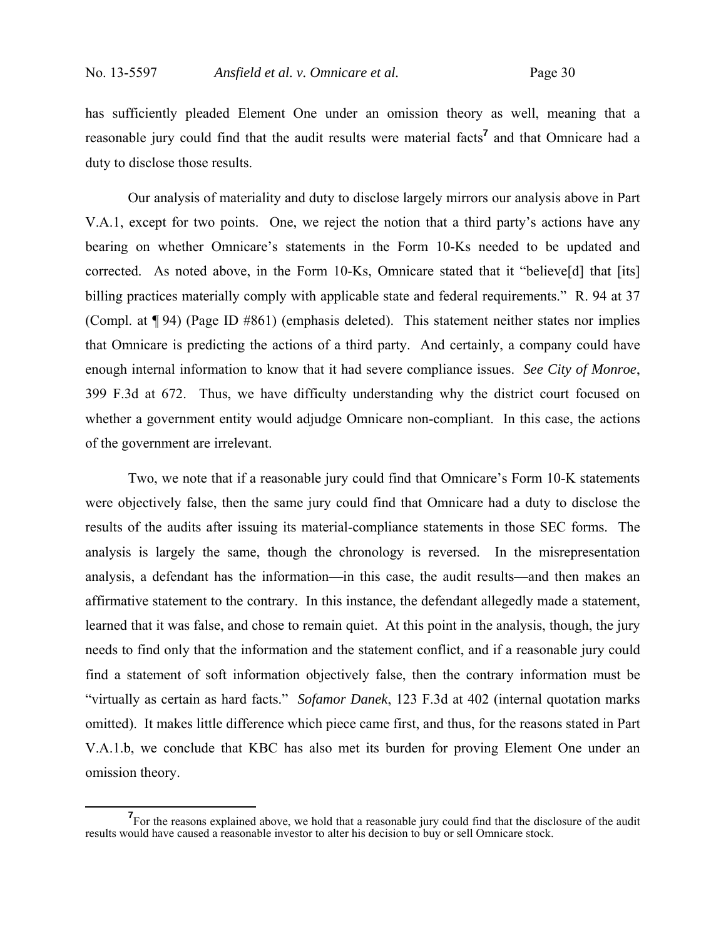has sufficiently pleaded Element One under an omission theory as well, meaning that a reasonable jury could find that the audit results were material facts**<sup>7</sup>** and that Omnicare had a duty to disclose those results.

Our analysis of materiality and duty to disclose largely mirrors our analysis above in Part V.A.1, except for two points. One, we reject the notion that a third party's actions have any bearing on whether Omnicare's statements in the Form 10-Ks needed to be updated and corrected. As noted above, in the Form 10-Ks, Omnicare stated that it "believe[d] that [its] billing practices materially comply with applicable state and federal requirements." R. 94 at 37 (Compl. at ¶ 94) (Page ID #861) (emphasis deleted). This statement neither states nor implies that Omnicare is predicting the actions of a third party. And certainly, a company could have enough internal information to know that it had severe compliance issues. *See City of Monroe*, 399 F.3d at 672.Thus, we have difficulty understanding why the district court focused on whether a government entity would adjudge Omnicare non-compliant. In this case, the actions of the government are irrelevant.

Two, we note that if a reasonable jury could find that Omnicare's Form 10-K statements were objectively false, then the same jury could find that Omnicare had a duty to disclose the results of the audits after issuing its material-compliance statements in those SEC forms. The analysis is largely the same, though the chronology is reversed. In the misrepresentation analysis, a defendant has the information—in this case, the audit results—and then makes an affirmative statement to the contrary. In this instance, the defendant allegedly made a statement, learned that it was false, and chose to remain quiet. At this point in the analysis, though, the jury needs to find only that the information and the statement conflict, and if a reasonable jury could find a statement of soft information objectively false, then the contrary information must be "virtually as certain as hard facts." *Sofamor Danek*, 123 F.3d at 402 (internal quotation marks omitted). It makes little difference which piece came first, and thus, for the reasons stated in Part V.A.1.b, we conclude that KBC has also met its burden for proving Element One under an omission theory.

<sup>&</sup>lt;sup>7</sup> For the reasons explained above, we hold that a reasonable jury could find that the disclosure of the audit results would have caused a reasonable investor to alter his decision to buy or sell Omnicare stock.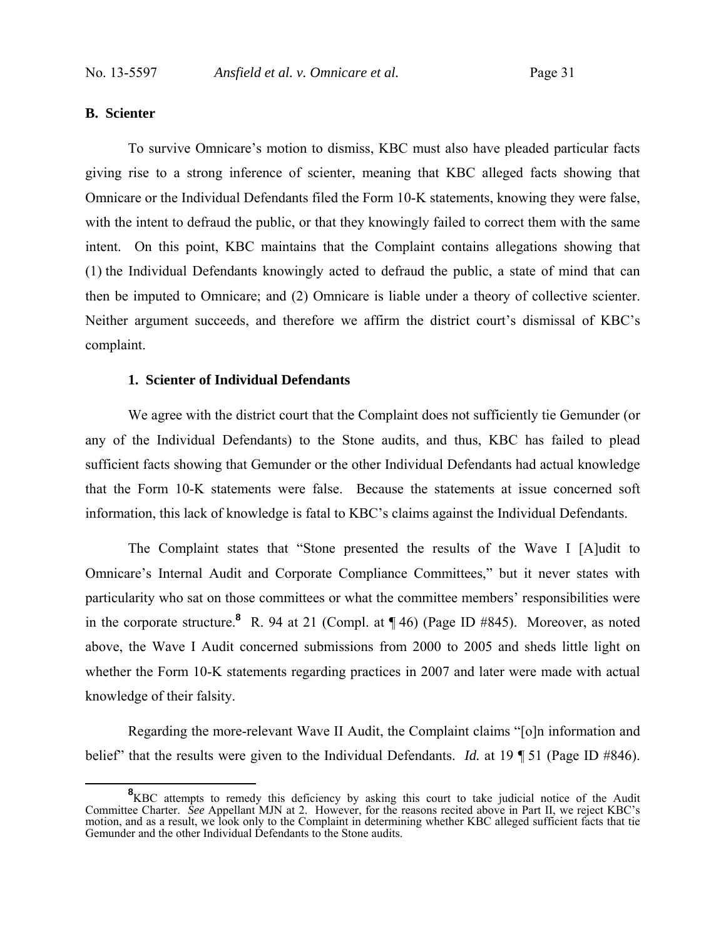### **B. Scienter**

 To survive Omnicare's motion to dismiss, KBC must also have pleaded particular facts giving rise to a strong inference of scienter, meaning that KBC alleged facts showing that Omnicare or the Individual Defendants filed the Form 10-K statements, knowing they were false, with the intent to defraud the public, or that they knowingly failed to correct them with the same intent. On this point, KBC maintains that the Complaint contains allegations showing that (1) the Individual Defendants knowingly acted to defraud the public, a state of mind that can then be imputed to Omnicare; and (2) Omnicare is liable under a theory of collective scienter. Neither argument succeeds, and therefore we affirm the district court's dismissal of KBC's complaint.

#### **1. Scienter of Individual Defendants**

We agree with the district court that the Complaint does not sufficiently tie Gemunder (or any of the Individual Defendants) to the Stone audits, and thus, KBC has failed to plead sufficient facts showing that Gemunder or the other Individual Defendants had actual knowledge that the Form 10-K statements were false. Because the statements at issue concerned soft information, this lack of knowledge is fatal to KBC's claims against the Individual Defendants.

The Complaint states that "Stone presented the results of the Wave I [A]udit to Omnicare's Internal Audit and Corporate Compliance Committees," but it never states with particularity who sat on those committees or what the committee members' responsibilities were in the corporate structure.**<sup>8</sup>** R. 94 at 21 (Compl. at ¶ 46) (Page ID #845). Moreover, as noted above, the Wave I Audit concerned submissions from 2000 to 2005 and sheds little light on whether the Form 10-K statements regarding practices in 2007 and later were made with actual knowledge of their falsity.

Regarding the more-relevant Wave II Audit, the Complaint claims "[o]n information and belief" that the results were given to the Individual Defendants. *Id.* at 19 ¶ 51 (Page ID #846).

<sup>&</sup>lt;sup>8</sup>KBC attempts to remedy this deficiency by asking this court to take judicial notice of the Audit Committee Charter. *See* Appellant MJN at 2. However, for the reasons recited above in Part II, we reject KBC's motion, and as a result, we look only to the Complaint in determining whether KBC alleged sufficient facts that tie Gemunder and the other Individual Defendants to the Stone audits.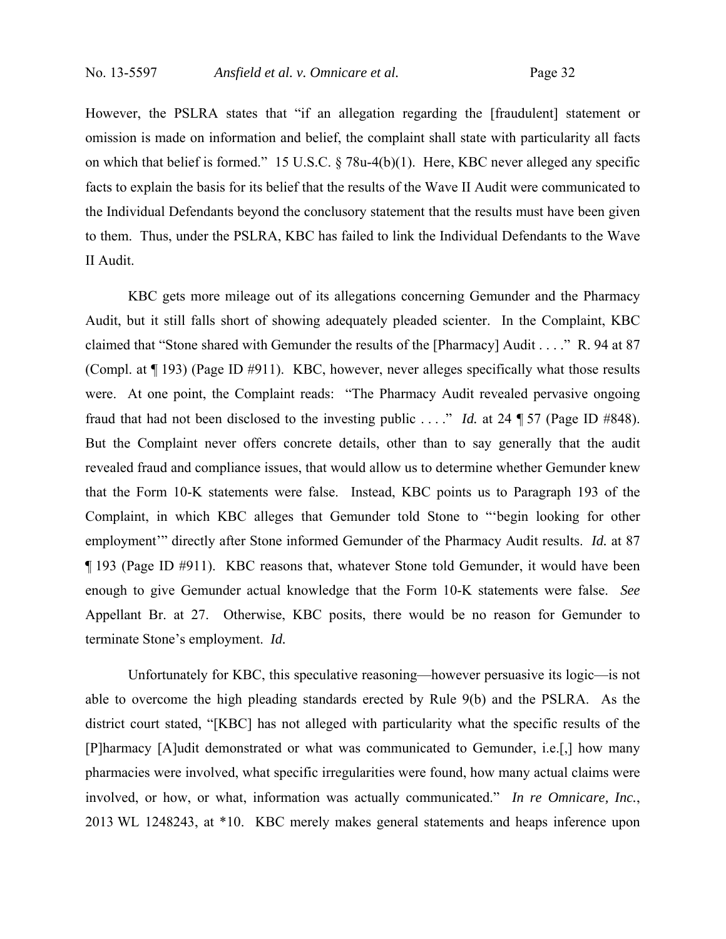However, the PSLRA states that "if an allegation regarding the [fraudulent] statement or omission is made on information and belief, the complaint shall state with particularity all facts on which that belief is formed." 15 U.S.C. § 78u-4(b)(1). Here, KBC never alleged any specific facts to explain the basis for its belief that the results of the Wave II Audit were communicated to the Individual Defendants beyond the conclusory statement that the results must have been given to them. Thus, under the PSLRA, KBC has failed to link the Individual Defendants to the Wave II Audit.

KBC gets more mileage out of its allegations concerning Gemunder and the Pharmacy Audit, but it still falls short of showing adequately pleaded scienter. In the Complaint, KBC claimed that "Stone shared with Gemunder the results of the [Pharmacy] Audit . . . ." R. 94 at 87 (Compl. at ¶ 193) (Page ID #911). KBC, however, never alleges specifically what those results were. At one point, the Complaint reads: "The Pharmacy Audit revealed pervasive ongoing fraud that had not been disclosed to the investing public . . . ." *Id.* at 24 ¶ 57 (Page ID #848). But the Complaint never offers concrete details, other than to say generally that the audit revealed fraud and compliance issues, that would allow us to determine whether Gemunder knew that the Form 10-K statements were false. Instead, KBC points us to Paragraph 193 of the Complaint, in which KBC alleges that Gemunder told Stone to "'begin looking for other employment'" directly after Stone informed Gemunder of the Pharmacy Audit results. *Id.* at 87 ¶ 193 (Page ID #911). KBC reasons that, whatever Stone told Gemunder, it would have been enough to give Gemunder actual knowledge that the Form 10-K statements were false. *See*  Appellant Br. at 27. Otherwise, KBC posits, there would be no reason for Gemunder to terminate Stone's employment. *Id.* 

Unfortunately for KBC, this speculative reasoning—however persuasive its logic—is not able to overcome the high pleading standards erected by Rule 9(b) and the PSLRA. As the district court stated, "[KBC] has not alleged with particularity what the specific results of the [P]harmacy [A]udit demonstrated or what was communicated to Gemunder, i.e.[,] how many pharmacies were involved, what specific irregularities were found, how many actual claims were involved, or how, or what, information was actually communicated." *In re Omnicare, Inc.*, 2013 WL 1248243, at \*10. KBC merely makes general statements and heaps inference upon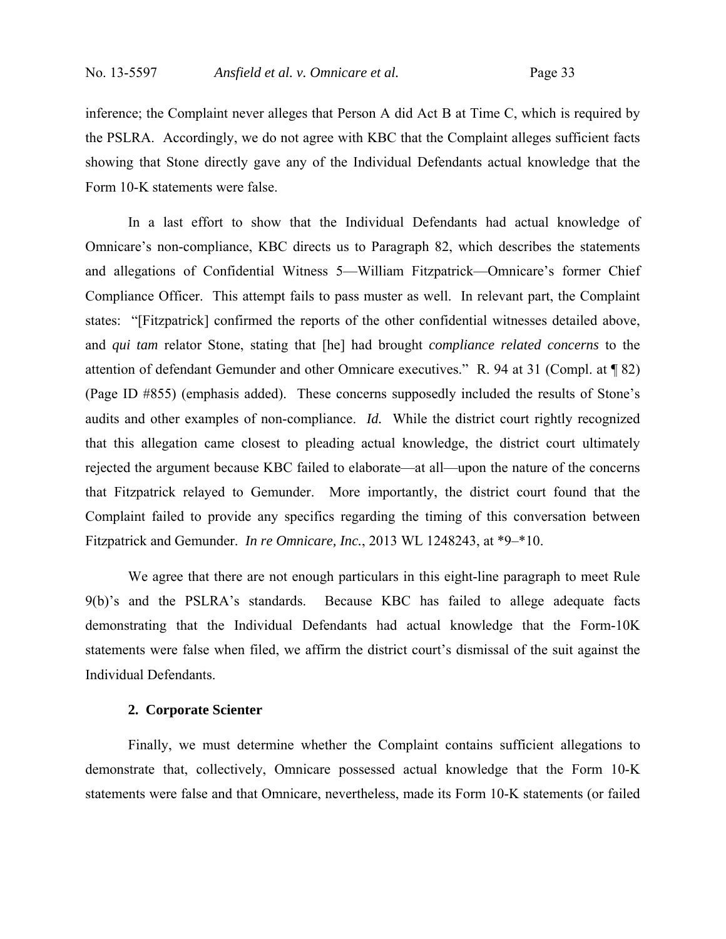inference; the Complaint never alleges that Person A did Act B at Time C, which is required by the PSLRA. Accordingly, we do not agree with KBC that the Complaint alleges sufficient facts showing that Stone directly gave any of the Individual Defendants actual knowledge that the Form 10-K statements were false.

In a last effort to show that the Individual Defendants had actual knowledge of Omnicare's non-compliance, KBC directs us to Paragraph 82, which describes the statements and allegations of Confidential Witness 5—William Fitzpatrick—Omnicare's former Chief Compliance Officer. This attempt fails to pass muster as well. In relevant part, the Complaint states: "[Fitzpatrick] confirmed the reports of the other confidential witnesses detailed above, and *qui tam* relator Stone, stating that [he] had brought *compliance related concerns* to the attention of defendant Gemunder and other Omnicare executives." R. 94 at 31 (Compl. at ¶ 82) (Page ID #855) (emphasis added). These concerns supposedly included the results of Stone's audits and other examples of non-compliance. *Id.* While the district court rightly recognized that this allegation came closest to pleading actual knowledge, the district court ultimately rejected the argument because KBC failed to elaborate—at all—upon the nature of the concerns that Fitzpatrick relayed to Gemunder. More importantly, the district court found that the Complaint failed to provide any specifics regarding the timing of this conversation between Fitzpatrick and Gemunder. *In re Omnicare, Inc.*, 2013 WL 1248243, at \*9–\*10.

We agree that there are not enough particulars in this eight-line paragraph to meet Rule 9(b)'s and the PSLRA's standards. Because KBC has failed to allege adequate facts demonstrating that the Individual Defendants had actual knowledge that the Form-10K statements were false when filed, we affirm the district court's dismissal of the suit against the Individual Defendants.

#### **2. Corporate Scienter**

Finally, we must determine whether the Complaint contains sufficient allegations to demonstrate that, collectively, Omnicare possessed actual knowledge that the Form 10-K statements were false and that Omnicare, nevertheless, made its Form 10-K statements (or failed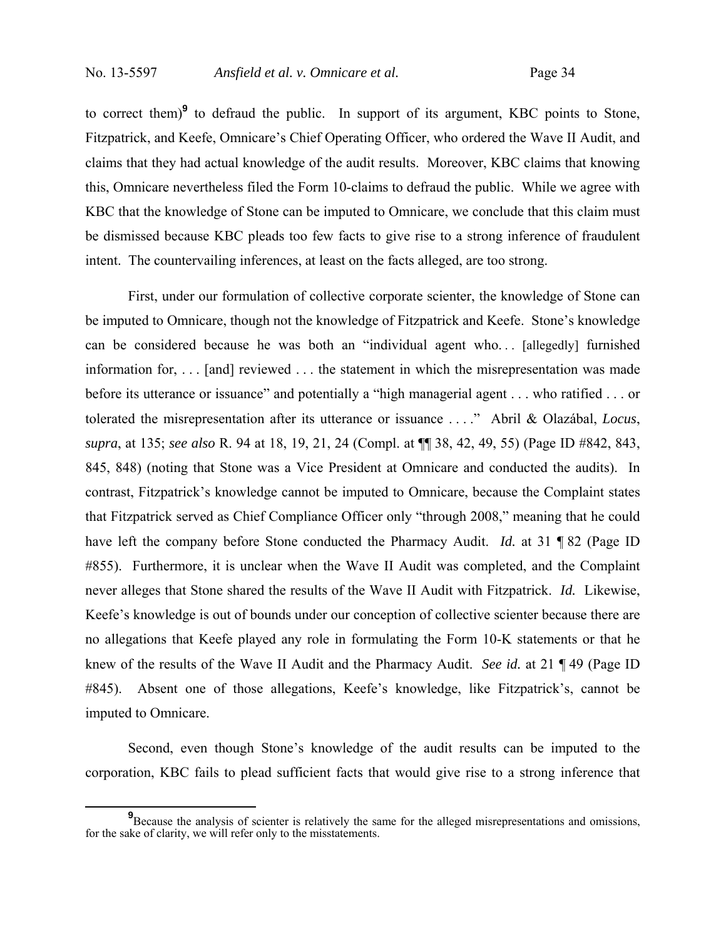to correct them)**<sup>9</sup>** to defraud the public. In support of its argument, KBC points to Stone, Fitzpatrick, and Keefe, Omnicare's Chief Operating Officer, who ordered the Wave II Audit, and claims that they had actual knowledge of the audit results. Moreover, KBC claims that knowing this, Omnicare nevertheless filed the Form 10-claims to defraud the public. While we agree with KBC that the knowledge of Stone can be imputed to Omnicare, we conclude that this claim must be dismissed because KBC pleads too few facts to give rise to a strong inference of fraudulent intent. The countervailing inferences, at least on the facts alleged, are too strong.

First, under our formulation of collective corporate scienter, the knowledge of Stone can be imputed to Omnicare, though not the knowledge of Fitzpatrick and Keefe. Stone's knowledge can be considered because he was both an "individual agent who... [allegedly] furnished information for, . . . [and] reviewed . . . the statement in which the misrepresentation was made before its utterance or issuance" and potentially a "high managerial agent . . . who ratified . . . or tolerated the misrepresentation after its utterance or issuance . . . ." Abril & Olazábal, *Locus*, *supra*, at 135; *see also* R. 94 at 18, 19, 21, 24 (Compl. at ¶¶ 38, 42, 49, 55) (Page ID #842, 843, 845, 848) (noting that Stone was a Vice President at Omnicare and conducted the audits). In contrast, Fitzpatrick's knowledge cannot be imputed to Omnicare, because the Complaint states that Fitzpatrick served as Chief Compliance Officer only "through 2008," meaning that he could have left the company before Stone conducted the Pharmacy Audit. *Id.* at 31 ¶ 82 (Page ID #855). Furthermore, it is unclear when the Wave II Audit was completed, and the Complaint never alleges that Stone shared the results of the Wave II Audit with Fitzpatrick. *Id.* Likewise, Keefe's knowledge is out of bounds under our conception of collective scienter because there are no allegations that Keefe played any role in formulating the Form 10-K statements or that he knew of the results of the Wave II Audit and the Pharmacy Audit. *See id.* at 21 ¶ 49 (Page ID #845). Absent one of those allegations, Keefe's knowledge, like Fitzpatrick's, cannot be imputed to Omnicare.

Second, even though Stone's knowledge of the audit results can be imputed to the corporation, KBC fails to plead sufficient facts that would give rise to a strong inference that

**<sup>9</sup>**<br> **9** Because the analysis of scienter is relatively the same for the alleged misrepresentations and omissions, for the sake of clarity, we will refer only to the misstatements.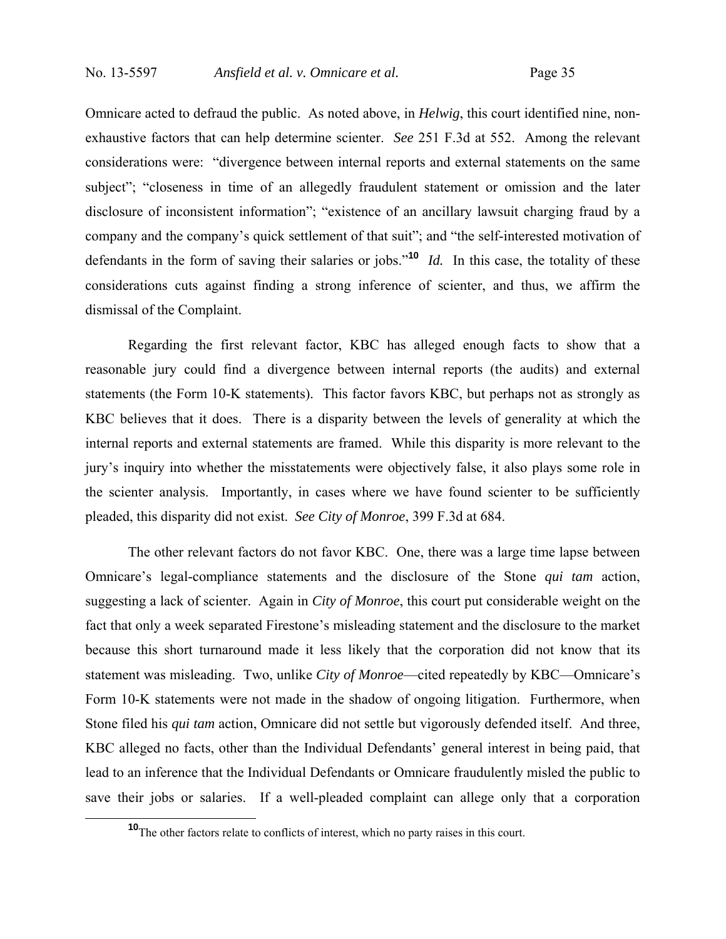Omnicare acted to defraud the public. As noted above, in *Helwig*, this court identified nine, nonexhaustive factors that can help determine scienter. *See* 251 F.3d at 552. Among the relevant considerations were: "divergence between internal reports and external statements on the same subject"; "closeness in time of an allegedly fraudulent statement or omission and the later disclosure of inconsistent information"; "existence of an ancillary lawsuit charging fraud by a company and the company's quick settlement of that suit"; and "the self-interested motivation of defendants in the form of saving their salaries or jobs."**<sup>10</sup>** *Id.* In this case, the totality of these considerations cuts against finding a strong inference of scienter, and thus, we affirm the dismissal of the Complaint.

Regarding the first relevant factor, KBC has alleged enough facts to show that a reasonable jury could find a divergence between internal reports (the audits) and external statements (the Form 10-K statements). This factor favors KBC, but perhaps not as strongly as KBC believes that it does. There is a disparity between the levels of generality at which the internal reports and external statements are framed. While this disparity is more relevant to the jury's inquiry into whether the misstatements were objectively false, it also plays some role in the scienter analysis. Importantly, in cases where we have found scienter to be sufficiently pleaded, this disparity did not exist. *See City of Monroe*, 399 F.3d at 684.

The other relevant factors do not favor KBC. One, there was a large time lapse between Omnicare's legal-compliance statements and the disclosure of the Stone *qui tam* action, suggesting a lack of scienter. Again in *City of Monroe*, this court put considerable weight on the fact that only a week separated Firestone's misleading statement and the disclosure to the market because this short turnaround made it less likely that the corporation did not know that its statement was misleading. Two, unlike *City of Monroe*—cited repeatedly by KBC—Omnicare's Form 10-K statements were not made in the shadow of ongoing litigation. Furthermore, when Stone filed his *qui tam* action, Omnicare did not settle but vigorously defended itself. And three, KBC alleged no facts, other than the Individual Defendants' general interest in being paid, that lead to an inference that the Individual Defendants or Omnicare fraudulently misled the public to save their jobs or salaries. If a well-pleaded complaint can allege only that a corporation

**<sup>10</sup>**The other factors relate to conflicts of interest, which no party raises in this court.